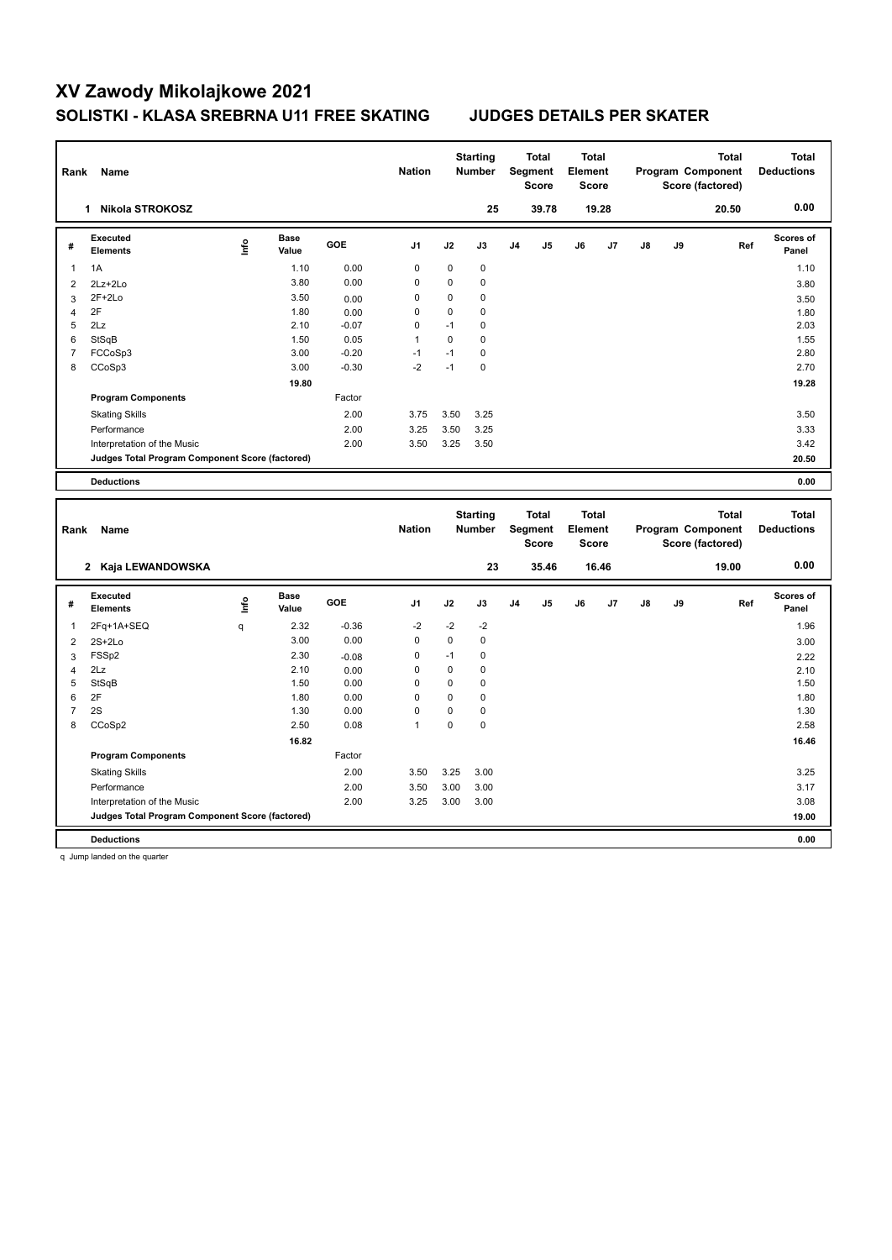| Rank           | Name                                            |                          |                      |            | <b>Nation</b>  |              | <b>Starting</b><br>Number        |    | Total<br>Segment<br><b>Score</b>        | <b>Total</b><br>Element<br><b>Score</b> |       |    |    | <b>Total</b><br>Program Component<br>Score (factored) | <b>Total</b><br><b>Deductions</b> |
|----------------|-------------------------------------------------|--------------------------|----------------------|------------|----------------|--------------|----------------------------------|----|-----------------------------------------|-----------------------------------------|-------|----|----|-------------------------------------------------------|-----------------------------------|
|                | 1 Nikola STROKOSZ                               |                          |                      |            |                |              | 25                               |    | 39.78                                   |                                         | 19.28 |    |    | 20.50                                                 | 0.00                              |
| #              | <b>Executed</b><br><b>Elements</b>              | $\mathop{\mathsf{Info}}$ | <b>Base</b><br>Value | GOE        | J <sub>1</sub> | J2           | J3                               | J4 | J5                                      | J6                                      | J7    | J8 | J9 | Ref                                                   | <b>Scores of</b><br>Panel         |
| 1              | 1A                                              |                          | 1.10                 | 0.00       | $\mathbf 0$    | $\mathbf 0$  | 0                                |    |                                         |                                         |       |    |    |                                                       | 1.10                              |
| $\overline{c}$ | 2Lz+2Lo                                         |                          | 3.80                 | 0.00       | 0              | 0            | 0                                |    |                                         |                                         |       |    |    |                                                       | 3.80                              |
| 3              | $2F+2Lo$                                        |                          | 3.50                 | 0.00       | $\mathbf 0$    | $\mathbf 0$  | $\mathbf 0$                      |    |                                         |                                         |       |    |    |                                                       | 3.50                              |
| $\overline{4}$ | 2F                                              |                          | 1.80                 | 0.00       | $\mathbf 0$    | $\mathbf 0$  | $\mathbf 0$                      |    |                                         |                                         |       |    |    |                                                       | 1.80                              |
| 5              | 2Lz                                             |                          | 2.10                 | $-0.07$    | $\mathbf 0$    | $-1$         | $\mathbf 0$                      |    |                                         |                                         |       |    |    |                                                       | 2.03                              |
| 6              | StSqB                                           |                          | 1.50                 | 0.05       | $\mathbf{1}$   | $\pmb{0}$    | 0                                |    |                                         |                                         |       |    |    |                                                       | 1.55                              |
| $\overline{7}$ | FCCoSp3                                         |                          | 3.00                 | $-0.20$    | $-1$           | $-1$<br>$-1$ | $\mathbf 0$                      |    |                                         |                                         |       |    |    |                                                       | 2.80                              |
| 8              | CCoSp3                                          |                          | 3.00                 | $-0.30$    | $-2$           |              | $\mathbf 0$                      |    |                                         |                                         |       |    |    |                                                       | 2.70                              |
|                |                                                 |                          | 19.80                |            |                |              |                                  |    |                                         |                                         |       |    |    |                                                       | 19.28                             |
|                | <b>Program Components</b>                       |                          |                      | Factor     |                |              |                                  |    |                                         |                                         |       |    |    |                                                       |                                   |
|                | <b>Skating Skills</b>                           |                          |                      | 2.00       | 3.75           | 3.50         | 3.25                             |    |                                         |                                         |       |    |    |                                                       | 3.50                              |
|                | Performance                                     |                          |                      | 2.00       | 3.25           | 3.50         | 3.25                             |    |                                         |                                         |       |    |    |                                                       | 3.33                              |
|                | Interpretation of the Music                     |                          |                      | 2.00       | 3.50           | 3.25         | 3.50                             |    |                                         |                                         |       |    |    |                                                       | 3.42                              |
|                | Judges Total Program Component Score (factored) |                          |                      |            |                |              |                                  |    |                                         |                                         |       |    |    |                                                       | 20.50                             |
|                | <b>Deductions</b>                               |                          |                      |            |                |              |                                  |    |                                         |                                         |       |    |    |                                                       | 0.00                              |
| Rank           | Name                                            |                          |                      |            | <b>Nation</b>  |              | <b>Starting</b><br><b>Number</b> |    | <b>Total</b><br>Segment<br><b>Score</b> | <b>Total</b><br>Element<br><b>Score</b> |       |    |    | <b>Total</b><br>Program Component<br>Score (factored) | <b>Total</b><br><b>Deductions</b> |
|                |                                                 |                          |                      |            |                |              |                                  |    |                                         |                                         |       |    |    |                                                       |                                   |
|                | 2 Kaja LEWANDOWSKA                              |                          |                      |            |                |              | 23                               |    | 35.46                                   |                                         | 16.46 |    |    | 19.00                                                 | 0.00                              |
| #              | Executed<br><b>Elements</b>                     | ١nf٥                     | Base<br>Value        | <b>GOE</b> | J <sub>1</sub> | J2           | J3                               | J4 | J5                                      | J6                                      | J7    | J8 | J9 | Ref                                                   | <b>Scores of</b><br>Panel         |
| 1              | 2Fq+1A+SEQ                                      | q                        | 2.32                 | $-0.36$    | $-2$           | $-2$         | -2                               |    |                                         |                                         |       |    |    |                                                       | 1.96                              |
| $\overline{2}$ | $2S+2Lo$                                        |                          | 3.00                 | 0.00       | $\pmb{0}$      | $\pmb{0}$    | $\mathbf 0$                      |    |                                         |                                         |       |    |    |                                                       | 3.00                              |
| 3              | FSSp2                                           |                          | 2.30                 | $-0.08$    | $\mathbf 0$    | $-1$         | $\mathbf 0$                      |    |                                         |                                         |       |    |    |                                                       | 2.22                              |
| 4              | 2Lz                                             |                          | 2.10                 | 0.00       | $\mathbf 0$    | $\mathbf 0$  | $\mathbf 0$                      |    |                                         |                                         |       |    |    |                                                       | 2.10                              |
| 5              | StSqB                                           |                          | 1.50                 | 0.00       | $\mathbf 0$    | 0            | 0                                |    |                                         |                                         |       |    |    |                                                       | 1.50                              |
| 6              | 2F                                              |                          | 1.80                 | 0.00       | $\mathbf 0$    | $\pmb{0}$    | $\mathbf 0$                      |    |                                         |                                         |       |    |    |                                                       | 1.80                              |
| $\overline{7}$ | 2S                                              |                          | 1.30                 | 0.00       | $\mathbf 0$    | $\mathbf 0$  | $\mathbf 0$                      |    |                                         |                                         |       |    |    |                                                       | 1.30                              |
| 8              | CCoSp2                                          |                          | 2.50                 | 0.08       | $\mathbf{1}$   | $\mathbf 0$  | $\mathbf 0$                      |    |                                         |                                         |       |    |    |                                                       | 2.58                              |
|                |                                                 |                          | 16.82                |            |                |              |                                  |    |                                         |                                         |       |    |    |                                                       | 16.46                             |
|                | <b>Program Components</b>                       |                          |                      | Factor     |                |              |                                  |    |                                         |                                         |       |    |    |                                                       |                                   |
|                | <b>Skating Skills</b>                           |                          |                      | 2.00       | 3.50           | 3.25         | 3.00                             |    |                                         |                                         |       |    |    |                                                       | 3.25                              |
|                | Performance                                     |                          |                      | 2.00       | 3.50           | 3.00         | 3.00                             |    |                                         |                                         |       |    |    |                                                       | 3.17                              |
|                | Interpretation of the Music                     |                          |                      | 2.00       | 3.25           | 3.00         | 3.00                             |    |                                         |                                         |       |    |    |                                                       | 3.08                              |
|                | Judges Total Program Component Score (factored) |                          |                      |            |                |              |                                  |    |                                         |                                         |       |    |    |                                                       | 19.00                             |

q Jump landed on the quarter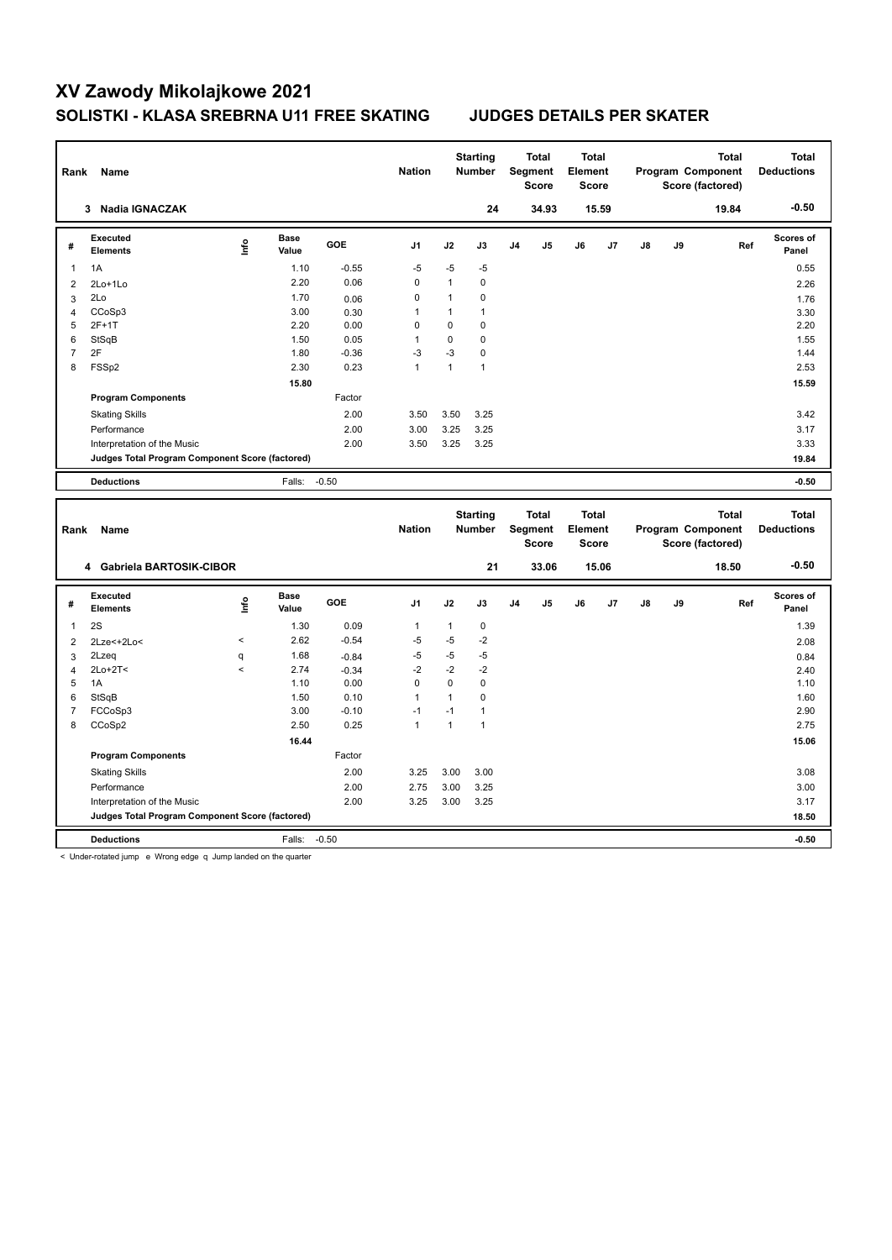| Rank           | Name                                            |         |                      |         | <b>Nation</b>  |              | <b>Starting</b><br>Number |    | Total<br>Segment<br><b>Score</b>        | <b>Total</b><br>Element<br><b>Score</b> |       |               | Program Component<br>Score (factored) | <b>Total</b> | <b>Total</b><br><b>Deductions</b> |
|----------------|-------------------------------------------------|---------|----------------------|---------|----------------|--------------|---------------------------|----|-----------------------------------------|-----------------------------------------|-------|---------------|---------------------------------------|--------------|-----------------------------------|
|                | 3 Nadia IGNACZAK                                |         |                      |         |                |              | 24                        |    | 34.93                                   |                                         | 15.59 |               |                                       | 19.84        | $-0.50$                           |
| #              | <b>Executed</b><br><b>Elements</b>              | Linfo   | <b>Base</b><br>Value | GOE     | J <sub>1</sub> | J2           | J3                        | J4 | J5                                      | J6                                      | J7    | $\mathsf{J}8$ | J9                                    | Ref          | <b>Scores of</b><br>Panel         |
| 1              | 1A                                              |         | 1.10                 | $-0.55$ | $-5$           | $-5$         | $-5$                      |    |                                         |                                         |       |               |                                       |              | 0.55                              |
| $\overline{2}$ | 2Lo+1Lo                                         |         | 2.20                 | 0.06    | $\pmb{0}$      | $\mathbf{1}$ | $\mathbf 0$               |    |                                         |                                         |       |               |                                       |              | 2.26                              |
| 3              | 2Lo                                             |         | 1.70                 | 0.06    | $\mathbf 0$    | $\mathbf{1}$ | $\mathbf 0$               |    |                                         |                                         |       |               |                                       |              | 1.76                              |
| 4              | CCoSp3                                          |         | 3.00                 | 0.30    | 1              | $\mathbf{1}$ | $\mathbf{1}$              |    |                                         |                                         |       |               |                                       |              | 3.30                              |
| 5              | $2F+1T$                                         |         | 2.20                 | 0.00    | $\mathbf 0$    | $\mathbf 0$  | $\mathbf 0$               |    |                                         |                                         |       |               |                                       |              | 2.20                              |
| 6              | StSqB                                           |         | 1.50                 | 0.05    | $\mathbf{1}$   | $\pmb{0}$    | $\mathbf 0$               |    |                                         |                                         |       |               |                                       |              | 1.55                              |
| $\overline{7}$ | 2F                                              |         | 1.80                 | $-0.36$ | $-3$           | $-3$         | $\mathbf 0$               |    |                                         |                                         |       |               |                                       |              | 1.44                              |
| 8              | FSSp2                                           |         | 2.30                 | 0.23    | $\mathbf{1}$   | $\mathbf{1}$ | $\mathbf{1}$              |    |                                         |                                         |       |               |                                       |              | 2.53                              |
|                |                                                 |         | 15.80                |         |                |              |                           |    |                                         |                                         |       |               |                                       |              | 15.59                             |
|                | <b>Program Components</b>                       |         |                      | Factor  |                |              |                           |    |                                         |                                         |       |               |                                       |              |                                   |
|                | <b>Skating Skills</b>                           |         |                      | 2.00    | 3.50           | 3.50         | 3.25                      |    |                                         |                                         |       |               |                                       |              | 3.42                              |
|                | Performance                                     |         |                      | 2.00    | 3.00           | 3.25         | 3.25                      |    |                                         |                                         |       |               |                                       |              | 3.17                              |
|                | Interpretation of the Music                     |         |                      | 2.00    | 3.50           | 3.25         | 3.25                      |    |                                         |                                         |       |               |                                       |              | 3.33                              |
|                | Judges Total Program Component Score (factored) |         |                      |         |                |              |                           |    |                                         |                                         |       |               |                                       |              | 19.84                             |
|                | <b>Deductions</b>                               |         | Falls:               | $-0.50$ |                |              |                           |    |                                         |                                         |       |               |                                       |              | $-0.50$                           |
|                |                                                 |         |                      |         |                |              |                           |    |                                         |                                         |       |               |                                       |              |                                   |
| Rank           | Name                                            |         |                      |         | <b>Nation</b>  |              | <b>Starting</b><br>Number |    | <b>Total</b><br>Segment<br><b>Score</b> | <b>Total</b><br>Element<br><b>Score</b> |       |               | Program Component<br>Score (factored) | <b>Total</b> | <b>Total</b><br><b>Deductions</b> |
|                | 4 Gabriela BARTOSIK-CIBOR                       |         |                      |         |                |              | 21                        |    | 33.06                                   |                                         | 15.06 |               |                                       | 18.50        | $-0.50$                           |
| #              | <b>Executed</b><br><b>Elements</b>              | lnfo    | <b>Base</b><br>Value | GOE     | J <sub>1</sub> | J2           | J3                        | J4 | J5                                      | J6                                      | J7    | J8            | J9                                    | Ref          | Scores of<br>Panel                |
| 1              | 2S                                              |         | 1.30                 | 0.09    | $\mathbf{1}$   | $\mathbf{1}$ | 0                         |    |                                         |                                         |       |               |                                       |              | 1.39                              |
| $\overline{2}$ | 2Lze<+2Lo<                                      | $\,<$   | 2.62                 | $-0.54$ | $-5$           | $-5$         | $-2$                      |    |                                         |                                         |       |               |                                       |              | 2.08                              |
| 3              | 2Lzeq                                           | q       | 1.68                 | $-0.84$ | $-5$           | $-5$         | -5                        |    |                                         |                                         |       |               |                                       |              | 0.84                              |
| $\overline{4}$ | 2Lo+2T<                                         | $\prec$ | 2.74                 | $-0.34$ | $-2$           | $-2$         | $-2$                      |    |                                         |                                         |       |               |                                       |              | 2.40                              |
| 5              | 1A                                              |         | 1.10                 | 0.00    | $\Omega$       | $\Omega$     | $\mathbf 0$               |    |                                         |                                         |       |               |                                       |              | 1.10                              |
| 6              | StSqB                                           |         | 1.50                 | 0.10    | $\mathbf{1}$   | $\mathbf{1}$ | $\mathbf 0$               |    |                                         |                                         |       |               |                                       |              | 1.60                              |
| $\overline{7}$ | FCCoSp3                                         |         | 3.00                 | $-0.10$ | $-1$           | $-1$         | $\mathbf{1}$              |    |                                         |                                         |       |               |                                       |              | 2.90                              |
| 8              | CCoSp2                                          |         | 2.50                 | 0.25    | $\mathbf{1}$   | $\mathbf{1}$ | $\mathbf{1}$              |    |                                         |                                         |       |               |                                       |              | 2.75                              |
|                |                                                 |         | 16.44                |         |                |              |                           |    |                                         |                                         |       |               |                                       |              | 15.06                             |
|                | <b>Program Components</b>                       |         |                      | Factor  |                |              |                           |    |                                         |                                         |       |               |                                       |              |                                   |
|                | <b>Skating Skills</b>                           |         |                      | 2.00    | 3.25           | 3.00         | 3.00                      |    |                                         |                                         |       |               |                                       |              | 3.08                              |
|                | Performance                                     |         |                      | 2.00    | 2.75           | 3.00         | 3.25                      |    |                                         |                                         |       |               |                                       |              | 3.00                              |
|                | Interpretation of the Music                     |         |                      | 2.00    | 3.25           | 3.00         | 3.25                      |    |                                         |                                         |       |               |                                       |              | 3.17                              |
|                | Judges Total Program Component Score (factored) |         |                      |         |                |              |                           |    |                                         |                                         |       |               |                                       |              | 18.50                             |

< Under-rotated jump e Wrong edge q Jump landed on the quarter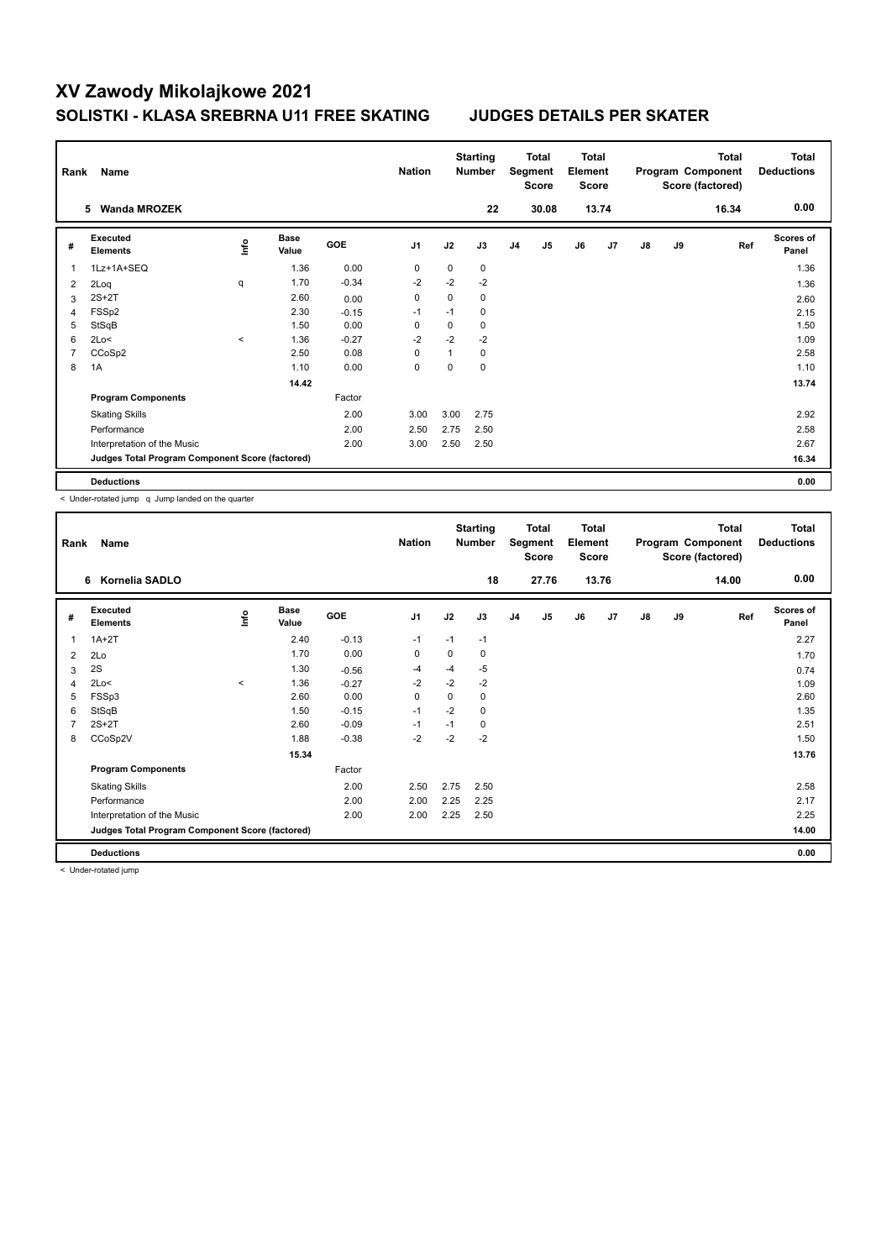| Rank           | Name                                            |         |                      |         | <b>Nation</b>  |          | <b>Starting</b><br><b>Number</b> |                | Total<br>Segment<br><b>Score</b> | Total<br>Element<br><b>Score</b> |       |               |    | Total<br>Program Component<br>Score (factored) | <b>Total</b><br><b>Deductions</b> |
|----------------|-------------------------------------------------|---------|----------------------|---------|----------------|----------|----------------------------------|----------------|----------------------------------|----------------------------------|-------|---------------|----|------------------------------------------------|-----------------------------------|
|                | <b>Wanda MROZEK</b><br>5.                       |         |                      |         |                |          | 22                               |                | 30.08                            |                                  | 13.74 |               |    | 16.34                                          | 0.00                              |
| #              | Executed<br><b>Elements</b>                     | lnfo    | <b>Base</b><br>Value | GOE     | J <sub>1</sub> | J2       | J3                               | J <sub>4</sub> | J5                               | J6                               | J7    | $\mathsf{J}8$ | J9 | Ref                                            | <b>Scores of</b><br>Panel         |
| 1              | 1Lz+1A+SEQ                                      |         | 1.36                 | 0.00    | $\mathbf 0$    | $\Omega$ | 0                                |                |                                  |                                  |       |               |    |                                                | 1.36                              |
| 2              | 2Loq                                            | q       | 1.70                 | $-0.34$ | $-2$           | $-2$     | $-2$                             |                |                                  |                                  |       |               |    |                                                | 1.36                              |
| 3              | $2S+2T$                                         |         | 2.60                 | 0.00    | 0              | 0        | 0                                |                |                                  |                                  |       |               |    |                                                | 2.60                              |
| 4              | FSSp2                                           |         | 2.30                 | $-0.15$ | $-1$           | $-1$     | 0                                |                |                                  |                                  |       |               |    |                                                | 2.15                              |
| 5              | StSqB                                           |         | 1.50                 | 0.00    | 0              | 0        | 0                                |                |                                  |                                  |       |               |    |                                                | 1.50                              |
| 6              | 2Lo<                                            | $\prec$ | 1.36                 | $-0.27$ | $-2$           | $-2$     | $-2$                             |                |                                  |                                  |       |               |    |                                                | 1.09                              |
| $\overline{7}$ | CCoSp2                                          |         | 2.50                 | 0.08    | $\Omega$       | 1        | $\Omega$                         |                |                                  |                                  |       |               |    |                                                | 2.58                              |
| 8              | 1A                                              |         | 1.10                 | 0.00    | 0              | $\Omega$ | 0                                |                |                                  |                                  |       |               |    |                                                | 1.10                              |
|                |                                                 |         | 14.42                |         |                |          |                                  |                |                                  |                                  |       |               |    |                                                | 13.74                             |
|                | <b>Program Components</b>                       |         |                      | Factor  |                |          |                                  |                |                                  |                                  |       |               |    |                                                |                                   |
|                | <b>Skating Skills</b>                           |         |                      | 2.00    | 3.00           | 3.00     | 2.75                             |                |                                  |                                  |       |               |    |                                                | 2.92                              |
|                | Performance                                     |         |                      | 2.00    | 2.50           | 2.75     | 2.50                             |                |                                  |                                  |       |               |    |                                                | 2.58                              |
|                | Interpretation of the Music                     |         |                      | 2.00    | 3.00           | 2.50     | 2.50                             |                |                                  |                                  |       |               |    |                                                | 2.67                              |
|                | Judges Total Program Component Score (factored) |         |                      |         |                |          |                                  |                |                                  |                                  |       |               |    |                                                | 16.34                             |
|                | <b>Deductions</b>                               |         |                      |         |                |          |                                  |                |                                  |                                  |       |               |    |                                                | 0.00                              |

< Under-rotated jump q Jump landed on the quarter

| Rank | Name                                            |          |                      |            | <b>Nation</b>  |          | <b>Starting</b><br><b>Number</b> |                | <b>Total</b><br>Segment<br><b>Score</b> | <b>Total</b><br>Element<br><b>Score</b> |       |               |    | <b>Total</b><br>Program Component<br>Score (factored) | <b>Total</b><br><b>Deductions</b> |
|------|-------------------------------------------------|----------|----------------------|------------|----------------|----------|----------------------------------|----------------|-----------------------------------------|-----------------------------------------|-------|---------------|----|-------------------------------------------------------|-----------------------------------|
|      | Kornelia SADLO<br>6                             |          |                      |            |                |          | 18                               |                | 27.76                                   |                                         | 13.76 |               |    | 14.00                                                 | 0.00                              |
| #    | Executed<br><b>Elements</b>                     | ۴ů       | <b>Base</b><br>Value | <b>GOE</b> | J <sub>1</sub> | J2       | J3                               | J <sub>4</sub> | J <sub>5</sub>                          | J6                                      | J7    | $\mathsf{J}8$ | J9 | Ref                                                   | <b>Scores of</b><br>Panel         |
| 1    | $1A+2T$                                         |          | 2.40                 | $-0.13$    | $-1$           | $-1$     | $-1$                             |                |                                         |                                         |       |               |    |                                                       | 2.27                              |
| 2    | 2Lo                                             |          | 1.70                 | 0.00       | 0              | 0        | 0                                |                |                                         |                                         |       |               |    |                                                       | 1.70                              |
| 3    | 2S                                              |          | 1.30                 | $-0.56$    | $-4$           | $-4$     | $-5$                             |                |                                         |                                         |       |               |    |                                                       | 0.74                              |
| 4    | 2Lo<                                            | $\hat{}$ | 1.36                 | $-0.27$    | $-2$           | $-2$     | $-2$                             |                |                                         |                                         |       |               |    |                                                       | 1.09                              |
| 5    | FSSp3                                           |          | 2.60                 | 0.00       | 0              | $\Omega$ | 0                                |                |                                         |                                         |       |               |    |                                                       | 2.60                              |
| 6    | StSqB                                           |          | 1.50                 | $-0.15$    | $-1$           | $-2$     | 0                                |                |                                         |                                         |       |               |    |                                                       | 1.35                              |
| 7    | $2S+2T$                                         |          | 2.60                 | $-0.09$    | $-1$           | $-1$     | 0                                |                |                                         |                                         |       |               |    |                                                       | 2.51                              |
| 8    | CCoSp2V                                         |          | 1.88                 | $-0.38$    | $-2$           | $-2$     | $-2$                             |                |                                         |                                         |       |               |    |                                                       | 1.50                              |
|      |                                                 |          | 15.34                |            |                |          |                                  |                |                                         |                                         |       |               |    |                                                       | 13.76                             |
|      | <b>Program Components</b>                       |          |                      | Factor     |                |          |                                  |                |                                         |                                         |       |               |    |                                                       |                                   |
|      | <b>Skating Skills</b>                           |          |                      | 2.00       | 2.50           | 2.75     | 2.50                             |                |                                         |                                         |       |               |    |                                                       | 2.58                              |
|      | Performance                                     |          |                      | 2.00       | 2.00           | 2.25     | 2.25                             |                |                                         |                                         |       |               |    |                                                       | 2.17                              |
|      | Interpretation of the Music                     |          |                      | 2.00       | 2.00           | 2.25     | 2.50                             |                |                                         |                                         |       |               |    |                                                       | 2.25                              |
|      | Judges Total Program Component Score (factored) |          |                      |            |                |          |                                  |                |                                         |                                         |       |               |    |                                                       | 14.00                             |
|      | <b>Deductions</b>                               |          |                      |            |                |          |                                  |                |                                         |                                         |       |               |    |                                                       | 0.00                              |

< Under-rotated jump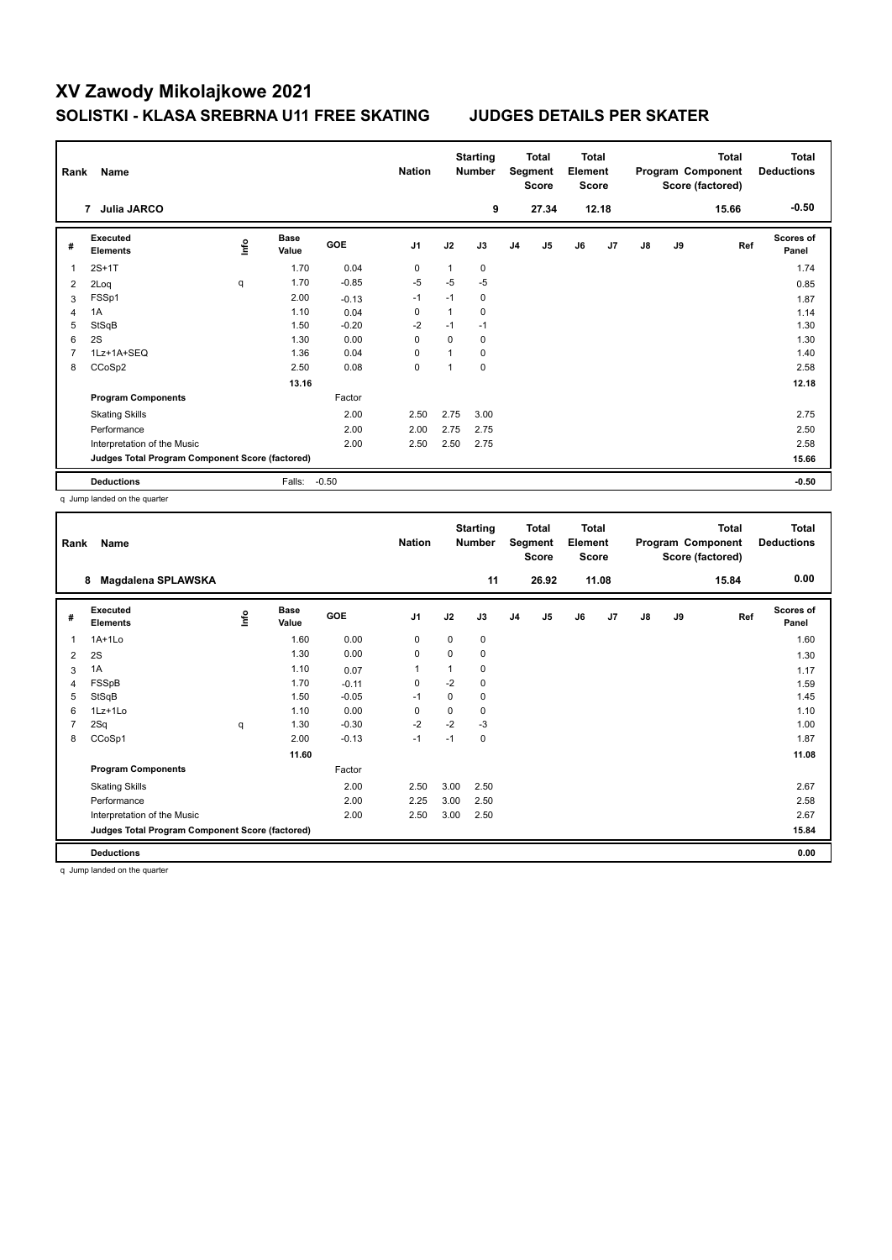| Rank | Name                                            |      |                      |         | <b>Nation</b>  |              | <b>Starting</b><br><b>Number</b> |                | Total<br>Segment<br><b>Score</b> | <b>Total</b><br>Element<br><b>Score</b> |       |               |    | <b>Total</b><br>Program Component<br>Score (factored) | <b>Total</b><br><b>Deductions</b> |
|------|-------------------------------------------------|------|----------------------|---------|----------------|--------------|----------------------------------|----------------|----------------------------------|-----------------------------------------|-------|---------------|----|-------------------------------------------------------|-----------------------------------|
|      | <b>Julia JARCO</b><br>7                         |      |                      |         |                |              | 9                                |                | 27.34                            |                                         | 12.18 |               |    | 15.66                                                 | $-0.50$                           |
| #    | <b>Executed</b><br><b>Elements</b>              | ١nf٥ | <b>Base</b><br>Value | GOE     | J <sub>1</sub> | J2           | J3                               | J <sub>4</sub> | J <sub>5</sub>                   | J6                                      | J7    | $\mathsf{J}8$ | J9 | Ref                                                   | <b>Scores of</b><br>Panel         |
| 1    | $2S+1T$                                         |      | 1.70                 | 0.04    | 0              | 1            | 0                                |                |                                  |                                         |       |               |    |                                                       | 1.74                              |
| 2    | 2Loq                                            | q    | 1.70                 | $-0.85$ | $-5$           | $-5$         | $-5$                             |                |                                  |                                         |       |               |    |                                                       | 0.85                              |
| 3    | FSSp1                                           |      | 2.00                 | $-0.13$ | $-1$           | $-1$         | 0                                |                |                                  |                                         |       |               |    |                                                       | 1.87                              |
| 4    | 1A                                              |      | 1.10                 | 0.04    | 0              | $\mathbf{1}$ | 0                                |                |                                  |                                         |       |               |    |                                                       | 1.14                              |
| 5    | StSqB                                           |      | 1.50                 | $-0.20$ | $-2$           | $-1$         | $-1$                             |                |                                  |                                         |       |               |    |                                                       | 1.30                              |
| 6    | 2S                                              |      | 1.30                 | 0.00    | 0              | 0            | 0                                |                |                                  |                                         |       |               |    |                                                       | 1.30                              |
| 7    | 1Lz+1A+SEQ                                      |      | 1.36                 | 0.04    | 0              | $\mathbf{1}$ | 0                                |                |                                  |                                         |       |               |    |                                                       | 1.40                              |
| 8    | CCoSp2                                          |      | 2.50                 | 0.08    | 0              | 1            | $\mathbf 0$                      |                |                                  |                                         |       |               |    |                                                       | 2.58                              |
|      |                                                 |      | 13.16                |         |                |              |                                  |                |                                  |                                         |       |               |    |                                                       | 12.18                             |
|      | <b>Program Components</b>                       |      |                      | Factor  |                |              |                                  |                |                                  |                                         |       |               |    |                                                       |                                   |
|      | <b>Skating Skills</b>                           |      |                      | 2.00    | 2.50           | 2.75         | 3.00                             |                |                                  |                                         |       |               |    |                                                       | 2.75                              |
|      | Performance                                     |      |                      | 2.00    | 2.00           | 2.75         | 2.75                             |                |                                  |                                         |       |               |    |                                                       | 2.50                              |
|      | Interpretation of the Music                     |      |                      | 2.00    | 2.50           | 2.50         | 2.75                             |                |                                  |                                         |       |               |    |                                                       | 2.58                              |
|      | Judges Total Program Component Score (factored) |      |                      |         |                |              |                                  |                |                                  |                                         |       |               |    |                                                       | 15.66                             |
|      | <b>Deductions</b>                               |      | Falls:               | $-0.50$ |                |              |                                  |                |                                  |                                         |       |               |    |                                                       | $-0.50$                           |

q Jump landed on the quarter

| Rank | Name                                            |      |                      |         | <b>Nation</b> |          | <b>Starting</b><br><b>Number</b> |                | <b>Total</b><br>Segment<br><b>Score</b> | <b>Total</b><br>Element<br><b>Score</b> |       |               |    | <b>Total</b><br>Program Component<br>Score (factored) | <b>Total</b><br><b>Deductions</b> |
|------|-------------------------------------------------|------|----------------------|---------|---------------|----------|----------------------------------|----------------|-----------------------------------------|-----------------------------------------|-------|---------------|----|-------------------------------------------------------|-----------------------------------|
|      | Magdalena SPLAWSKA<br>8                         |      |                      |         |               |          | 11                               |                | 26.92                                   |                                         | 11.08 |               |    | 15.84                                                 | 0.00                              |
| #    | Executed<br><b>Elements</b>                     | lnfo | <b>Base</b><br>Value | GOE     | J1            | J2       | J3                               | J <sub>4</sub> | J5                                      | J6                                      | J7    | $\mathsf{J}8$ | J9 | Ref                                                   | <b>Scores of</b><br>Panel         |
| 1    | $1A+1Lo$                                        |      | 1.60                 | 0.00    | 0             | $\Omega$ | 0                                |                |                                         |                                         |       |               |    |                                                       | 1.60                              |
| 2    | 2S                                              |      | 1.30                 | 0.00    | 0             | 0        | 0                                |                |                                         |                                         |       |               |    |                                                       | 1.30                              |
| 3    | 1A                                              |      | 1.10                 | 0.07    | $\mathbf{1}$  | 1        | 0                                |                |                                         |                                         |       |               |    |                                                       | 1.17                              |
| 4    | FSSpB                                           |      | 1.70                 | $-0.11$ | 0             | $-2$     | 0                                |                |                                         |                                         |       |               |    |                                                       | 1.59                              |
| 5    | StSqB                                           |      | 1.50                 | $-0.05$ | $-1$          | 0        | 0                                |                |                                         |                                         |       |               |    |                                                       | 1.45                              |
| 6    | 1Lz+1Lo                                         |      | 1.10                 | 0.00    | 0             | 0        | 0                                |                |                                         |                                         |       |               |    |                                                       | 1.10                              |
| 7    | 2Sq                                             | q    | 1.30                 | $-0.30$ | $-2$          | $-2$     | -3                               |                |                                         |                                         |       |               |    |                                                       | 1.00                              |
| 8    | CCoSp1                                          |      | 2.00                 | $-0.13$ | $-1$          | $-1$     | 0                                |                |                                         |                                         |       |               |    |                                                       | 1.87                              |
|      |                                                 |      | 11.60                |         |               |          |                                  |                |                                         |                                         |       |               |    |                                                       | 11.08                             |
|      | <b>Program Components</b>                       |      |                      | Factor  |               |          |                                  |                |                                         |                                         |       |               |    |                                                       |                                   |
|      | <b>Skating Skills</b>                           |      |                      | 2.00    | 2.50          | 3.00     | 2.50                             |                |                                         |                                         |       |               |    |                                                       | 2.67                              |
|      | Performance                                     |      |                      | 2.00    | 2.25          | 3.00     | 2.50                             |                |                                         |                                         |       |               |    |                                                       | 2.58                              |
|      | Interpretation of the Music                     |      |                      | 2.00    | 2.50          | 3.00     | 2.50                             |                |                                         |                                         |       |               |    |                                                       | 2.67                              |
|      | Judges Total Program Component Score (factored) |      |                      |         |               |          |                                  |                |                                         |                                         |       |               |    |                                                       | 15.84                             |
|      | <b>Deductions</b>                               |      |                      |         |               |          |                                  |                |                                         |                                         |       |               |    |                                                       | 0.00                              |

q Jump landed on the quarter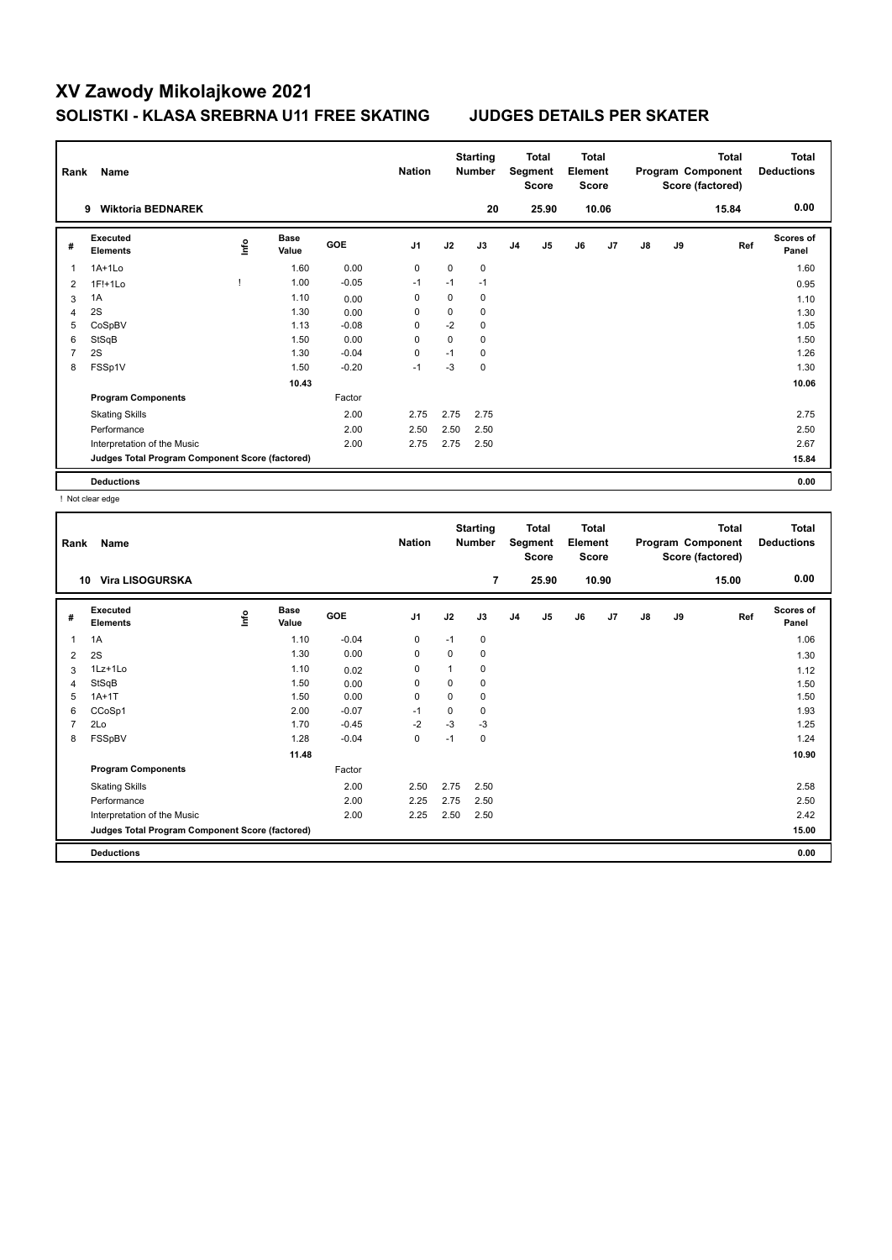| Rank | Name                                            |      |                      |         | <b>Nation</b>  |             | <b>Starting</b><br><b>Number</b> |                | <b>Total</b><br>Segment<br><b>Score</b> | <b>Total</b><br>Element<br><b>Score</b> |       |    |    | <b>Total</b><br>Program Component<br>Score (factored) | <b>Total</b><br><b>Deductions</b> |
|------|-------------------------------------------------|------|----------------------|---------|----------------|-------------|----------------------------------|----------------|-----------------------------------------|-----------------------------------------|-------|----|----|-------------------------------------------------------|-----------------------------------|
|      | <b>Wiktoria BEDNAREK</b><br>9                   |      |                      |         |                |             | 20                               |                | 25.90                                   |                                         | 10.06 |    |    | 15.84                                                 | 0.00                              |
| #    | Executed<br><b>Elements</b>                     | lnfo | <b>Base</b><br>Value | GOE     | J <sub>1</sub> | J2          | J3                               | J <sub>4</sub> | J <sub>5</sub>                          | J6                                      | J7    | J8 | J9 | Ref                                                   | Scores of<br>Panel                |
| 1    | $1A+1Lo$                                        |      | 1.60                 | 0.00    | $\mathbf 0$    | $\mathbf 0$ | $\mathbf 0$                      |                |                                         |                                         |       |    |    |                                                       | 1.60                              |
| 2    | 1F!+1Lo                                         |      | 1.00                 | $-0.05$ | $-1$           | $-1$        | $-1$                             |                |                                         |                                         |       |    |    |                                                       | 0.95                              |
| 3    | 1A                                              |      | 1.10                 | 0.00    | 0              | 0           | 0                                |                |                                         |                                         |       |    |    |                                                       | 1.10                              |
| 4    | 2S                                              |      | 1.30                 | 0.00    | 0              | 0           | 0                                |                |                                         |                                         |       |    |    |                                                       | 1.30                              |
| 5    | CoSpBV                                          |      | 1.13                 | $-0.08$ | 0              | $-2$        | 0                                |                |                                         |                                         |       |    |    |                                                       | 1.05                              |
| 6    | StSqB                                           |      | 1.50                 | 0.00    | $\Omega$       | $\mathbf 0$ | 0                                |                |                                         |                                         |       |    |    |                                                       | 1.50                              |
| 7    | 2S                                              |      | 1.30                 | $-0.04$ | $\Omega$       | $-1$        | $\Omega$                         |                |                                         |                                         |       |    |    |                                                       | 1.26                              |
| 8    | FSSp1V                                          |      | 1.50                 | $-0.20$ | $-1$           | $-3$        | $\mathbf 0$                      |                |                                         |                                         |       |    |    |                                                       | 1.30                              |
|      |                                                 |      | 10.43                |         |                |             |                                  |                |                                         |                                         |       |    |    |                                                       | 10.06                             |
|      | <b>Program Components</b>                       |      |                      | Factor  |                |             |                                  |                |                                         |                                         |       |    |    |                                                       |                                   |
|      | <b>Skating Skills</b>                           |      |                      | 2.00    | 2.75           | 2.75        | 2.75                             |                |                                         |                                         |       |    |    |                                                       | 2.75                              |
|      | Performance                                     |      |                      | 2.00    | 2.50           | 2.50        | 2.50                             |                |                                         |                                         |       |    |    |                                                       | 2.50                              |
|      | Interpretation of the Music                     |      |                      | 2.00    | 2.75           | 2.75        | 2.50                             |                |                                         |                                         |       |    |    |                                                       | 2.67                              |
|      | Judges Total Program Component Score (factored) |      |                      |         |                |             |                                  |                |                                         |                                         |       |    |    |                                                       | 15.84                             |
|      | <b>Deductions</b>                               |      |                      |         |                |             |                                  |                |                                         |                                         |       |    |    |                                                       | 0.00                              |

! Not clear edge

| Rank           | Name                                            |      |                      |         | <b>Nation</b> |          | <b>Starting</b><br><b>Number</b> |                | Total<br>Segment<br><b>Score</b> | <b>Total</b><br>Element<br><b>Score</b> |       |               |    | <b>Total</b><br>Program Component<br>Score (factored) | Total<br><b>Deductions</b> |
|----------------|-------------------------------------------------|------|----------------------|---------|---------------|----------|----------------------------------|----------------|----------------------------------|-----------------------------------------|-------|---------------|----|-------------------------------------------------------|----------------------------|
|                | <b>Vira LISOGURSKA</b><br>10                    |      |                      |         |               |          | 7                                |                | 25.90                            |                                         | 10.90 |               |    | 15.00                                                 | 0.00                       |
| #              | Executed<br><b>Elements</b>                     | ١nf٥ | <b>Base</b><br>Value | GOE     | J1            | J2       | J3                               | J <sub>4</sub> | J5                               | J6                                      | J7    | $\mathsf{J}8$ | J9 | Ref                                                   | <b>Scores of</b><br>Panel  |
| 1              | 1A                                              |      | 1.10                 | $-0.04$ | 0             | $-1$     | 0                                |                |                                  |                                         |       |               |    |                                                       | 1.06                       |
| 2              | 2S                                              |      | 1.30                 | 0.00    | 0             | $\Omega$ | 0                                |                |                                  |                                         |       |               |    |                                                       | 1.30                       |
| 3              | 1Lz+1Lo                                         |      | 1.10                 | 0.02    | 0             |          | 0                                |                |                                  |                                         |       |               |    |                                                       | 1.12                       |
| 4              | StSqB                                           |      | 1.50                 | 0.00    | 0             | 0        | 0                                |                |                                  |                                         |       |               |    |                                                       | 1.50                       |
| 5              | $1A+1T$                                         |      | 1.50                 | 0.00    | 0             | $\Omega$ | 0                                |                |                                  |                                         |       |               |    |                                                       | 1.50                       |
| 6              | CCoSp1                                          |      | 2.00                 | $-0.07$ | $-1$          | 0        | 0                                |                |                                  |                                         |       |               |    |                                                       | 1.93                       |
| $\overline{7}$ | 2Lo                                             |      | 1.70                 | $-0.45$ | $-2$          | $-3$     | $-3$                             |                |                                  |                                         |       |               |    |                                                       | 1.25                       |
| 8              | FSSpBV                                          |      | 1.28                 | $-0.04$ | 0             | $-1$     | 0                                |                |                                  |                                         |       |               |    |                                                       | 1.24                       |
|                |                                                 |      | 11.48                |         |               |          |                                  |                |                                  |                                         |       |               |    |                                                       | 10.90                      |
|                | <b>Program Components</b>                       |      |                      | Factor  |               |          |                                  |                |                                  |                                         |       |               |    |                                                       |                            |
|                | <b>Skating Skills</b>                           |      |                      | 2.00    | 2.50          | 2.75     | 2.50                             |                |                                  |                                         |       |               |    |                                                       | 2.58                       |
|                | Performance                                     |      |                      | 2.00    | 2.25          | 2.75     | 2.50                             |                |                                  |                                         |       |               |    |                                                       | 2.50                       |
|                | Interpretation of the Music                     |      |                      | 2.00    | 2.25          | 2.50     | 2.50                             |                |                                  |                                         |       |               |    |                                                       | 2.42                       |
|                | Judges Total Program Component Score (factored) |      |                      |         |               |          |                                  |                |                                  |                                         |       |               |    |                                                       | 15.00                      |
|                | <b>Deductions</b>                               |      |                      |         |               |          |                                  |                |                                  |                                         |       |               |    |                                                       | 0.00                       |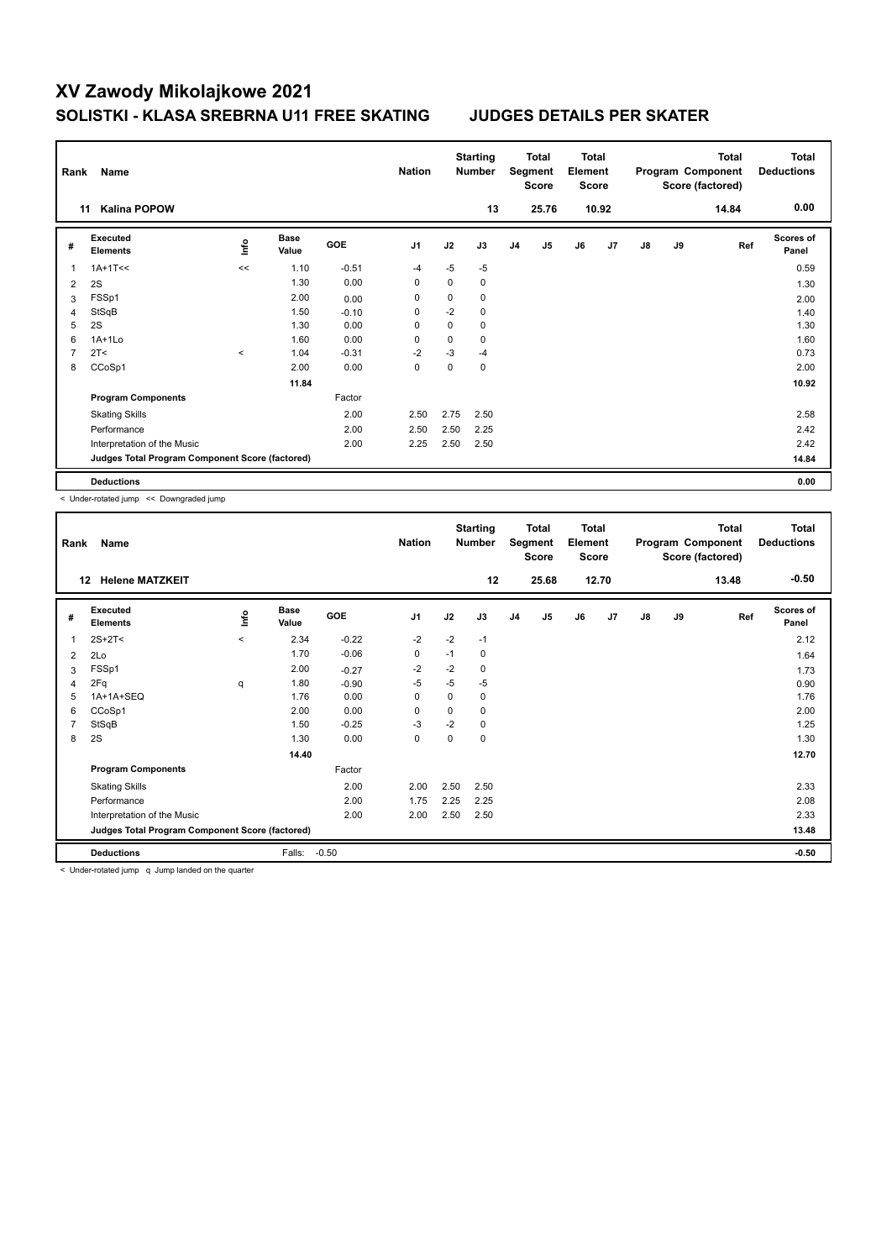| Rank           | Name                                            |         |                      |         | <b>Nation</b>  |             | <b>Starting</b><br><b>Number</b> |                | Total<br>Segment<br><b>Score</b> | <b>Total</b><br>Element<br><b>Score</b> |       |               |    | <b>Total</b><br>Program Component<br>Score (factored) | <b>Total</b><br><b>Deductions</b> |
|----------------|-------------------------------------------------|---------|----------------------|---------|----------------|-------------|----------------------------------|----------------|----------------------------------|-----------------------------------------|-------|---------------|----|-------------------------------------------------------|-----------------------------------|
| 11             | <b>Kalina POPOW</b>                             |         |                      |         |                |             | 13                               |                | 25.76                            |                                         | 10.92 |               |    | 14.84                                                 | 0.00                              |
| #              | <b>Executed</b><br><b>Elements</b>              | lnfo    | <b>Base</b><br>Value | GOE     | J <sub>1</sub> | J2          | J3                               | J <sub>4</sub> | J <sub>5</sub>                   | J6                                      | J7    | $\mathsf{J}8$ | J9 | Ref                                                   | <b>Scores of</b><br>Panel         |
| 1              | $1A+1T<<$                                       | <<      | 1.10                 | $-0.51$ | $-4$           | $-5$        | $-5$                             |                |                                  |                                         |       |               |    |                                                       | 0.59                              |
| $\overline{2}$ | 2S                                              |         | 1.30                 | 0.00    | 0              | 0           | 0                                |                |                                  |                                         |       |               |    |                                                       | 1.30                              |
| 3              | FSSp1                                           |         | 2.00                 | 0.00    | 0              | $\mathbf 0$ | 0                                |                |                                  |                                         |       |               |    |                                                       | 2.00                              |
| 4              | StSqB                                           |         | 1.50                 | $-0.10$ | 0              | $-2$        | 0                                |                |                                  |                                         |       |               |    |                                                       | 1.40                              |
| 5              | 2S                                              |         | 1.30                 | 0.00    | $\Omega$       | 0           | 0                                |                |                                  |                                         |       |               |    |                                                       | 1.30                              |
| 6              | $1A+1L0$                                        |         | 1.60                 | 0.00    | $\Omega$       | $\Omega$    | $\Omega$                         |                |                                  |                                         |       |               |    |                                                       | 1.60                              |
|                | 2T <                                            | $\prec$ | 1.04                 | $-0.31$ | $-2$           | $-3$        | $-4$                             |                |                                  |                                         |       |               |    |                                                       | 0.73                              |
| 8              | CCoSp1                                          |         | 2.00                 | 0.00    | 0              | 0           | 0                                |                |                                  |                                         |       |               |    |                                                       | 2.00                              |
|                |                                                 |         | 11.84                |         |                |             |                                  |                |                                  |                                         |       |               |    |                                                       | 10.92                             |
|                | <b>Program Components</b>                       |         |                      | Factor  |                |             |                                  |                |                                  |                                         |       |               |    |                                                       |                                   |
|                | <b>Skating Skills</b>                           |         |                      | 2.00    | 2.50           | 2.75        | 2.50                             |                |                                  |                                         |       |               |    |                                                       | 2.58                              |
|                | Performance                                     |         |                      | 2.00    | 2.50           | 2.50        | 2.25                             |                |                                  |                                         |       |               |    |                                                       | 2.42                              |
|                | Interpretation of the Music                     |         |                      | 2.00    | 2.25           | 2.50        | 2.50                             |                |                                  |                                         |       |               |    |                                                       | 2.42                              |
|                | Judges Total Program Component Score (factored) |         |                      |         |                |             |                                  |                |                                  |                                         |       |               |    |                                                       | 14.84                             |
|                | <b>Deductions</b>                               |         |                      |         |                |             |                                  |                |                                  |                                         |       |               |    |                                                       | 0.00                              |

< Under-rotated jump << Downgraded jump

| Rank | Name                                            |         |                      |         | <b>Nation</b>  |      | <b>Starting</b><br><b>Number</b> |                | Total<br>Segment<br><b>Score</b> | <b>Total</b><br>Element<br><b>Score</b> |       |               |    | Total<br>Program Component<br>Score (factored) | <b>Total</b><br><b>Deductions</b> |
|------|-------------------------------------------------|---------|----------------------|---------|----------------|------|----------------------------------|----------------|----------------------------------|-----------------------------------------|-------|---------------|----|------------------------------------------------|-----------------------------------|
|      | <b>Helene MATZKEIT</b><br>12                    |         |                      |         |                |      | 12                               |                | 25.68                            |                                         | 12.70 |               |    | 13.48                                          | $-0.50$                           |
| #    | Executed<br><b>Elements</b>                     | Linfo   | <b>Base</b><br>Value | GOE     | J <sub>1</sub> | J2   | J3                               | J <sub>4</sub> | J <sub>5</sub>                   | J6                                      | J7    | $\mathsf{J}8$ | J9 | Ref                                            | <b>Scores of</b><br>Panel         |
| 1    | $2S+2T<$                                        | $\prec$ | 2.34                 | $-0.22$ | $-2$           | $-2$ | $-1$                             |                |                                  |                                         |       |               |    |                                                | 2.12                              |
| 2    | 2Lo                                             |         | 1.70                 | $-0.06$ | 0              | $-1$ | 0                                |                |                                  |                                         |       |               |    |                                                | 1.64                              |
| 3    | FSSp1                                           |         | 2.00                 | $-0.27$ | $-2$           | $-2$ | 0                                |                |                                  |                                         |       |               |    |                                                | 1.73                              |
| 4    | 2Fq                                             | q       | 1.80                 | $-0.90$ | $-5$           | $-5$ | $-5$                             |                |                                  |                                         |       |               |    |                                                | 0.90                              |
| 5    | 1A+1A+SEQ                                       |         | 1.76                 | 0.00    | 0              | 0    | 0                                |                |                                  |                                         |       |               |    |                                                | 1.76                              |
| 6    | CCoSp1                                          |         | 2.00                 | 0.00    | $\mathbf 0$    | 0    | 0                                |                |                                  |                                         |       |               |    |                                                | 2.00                              |
| 7    | StSqB                                           |         | 1.50                 | $-0.25$ | $-3$           | $-2$ | 0                                |                |                                  |                                         |       |               |    |                                                | 1.25                              |
| 8    | 2S                                              |         | 1.30                 | 0.00    | 0              | 0    | 0                                |                |                                  |                                         |       |               |    |                                                | 1.30                              |
|      |                                                 |         | 14.40                |         |                |      |                                  |                |                                  |                                         |       |               |    |                                                | 12.70                             |
|      | <b>Program Components</b>                       |         |                      | Factor  |                |      |                                  |                |                                  |                                         |       |               |    |                                                |                                   |
|      | <b>Skating Skills</b>                           |         |                      | 2.00    | 2.00           | 2.50 | 2.50                             |                |                                  |                                         |       |               |    |                                                | 2.33                              |
|      | Performance                                     |         |                      | 2.00    | 1.75           | 2.25 | 2.25                             |                |                                  |                                         |       |               |    |                                                | 2.08                              |
|      | Interpretation of the Music                     |         |                      | 2.00    | 2.00           | 2.50 | 2.50                             |                |                                  |                                         |       |               |    |                                                | 2.33                              |
|      | Judges Total Program Component Score (factored) |         |                      |         |                |      |                                  |                |                                  |                                         |       |               |    |                                                | 13.48                             |
|      | <b>Deductions</b><br>.<br>.                     |         | Falls:               | $-0.50$ |                |      |                                  |                |                                  |                                         |       |               |    |                                                | $-0.50$                           |

< Under-rotated jump q Jump landed on the quarter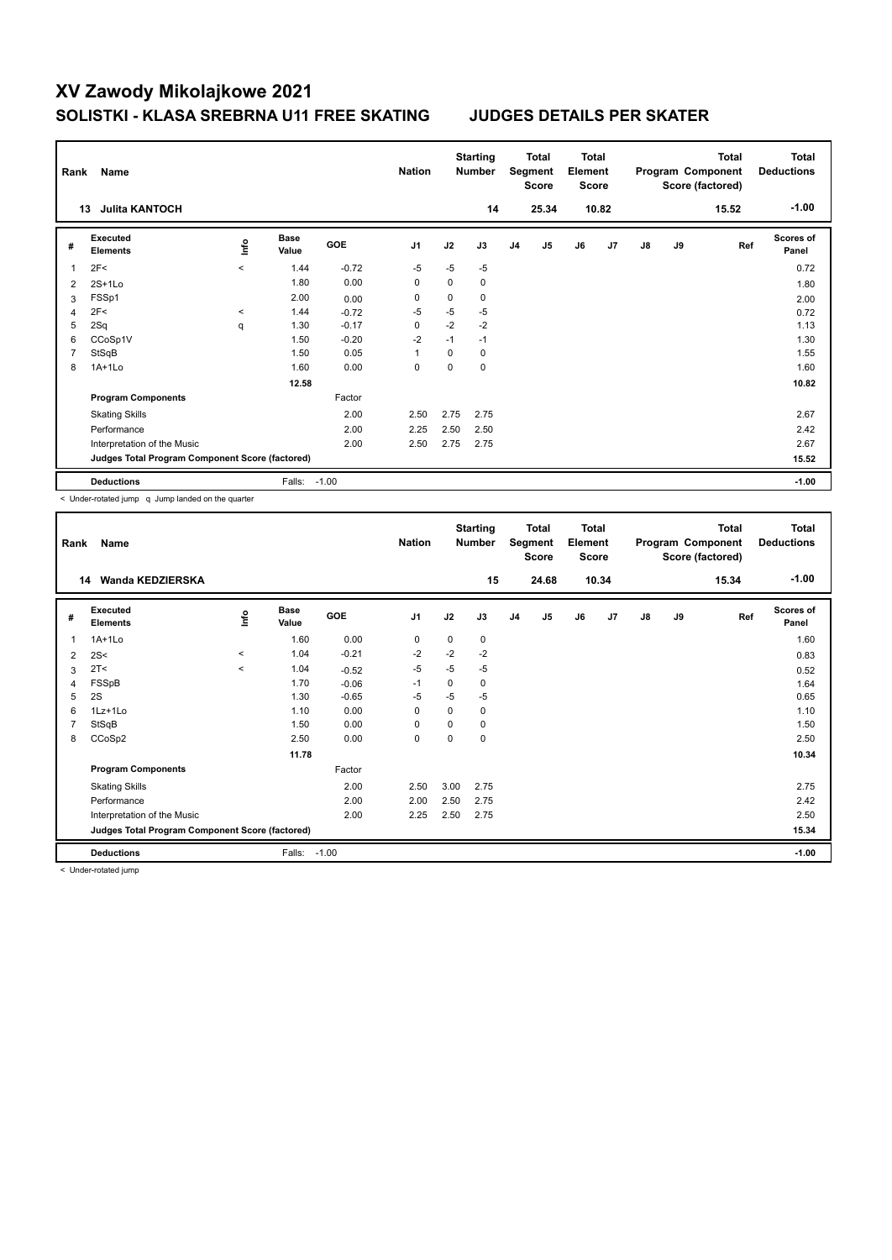| Rank | Name                                            |         |                      |            | <b>Nation</b>  |             | <b>Starting</b><br><b>Number</b> |                | Total<br>Segment<br>Score | <b>Total</b><br>Element<br><b>Score</b> |                |               |    | <b>Total</b><br>Program Component<br>Score (factored) | Total<br><b>Deductions</b> |
|------|-------------------------------------------------|---------|----------------------|------------|----------------|-------------|----------------------------------|----------------|---------------------------|-----------------------------------------|----------------|---------------|----|-------------------------------------------------------|----------------------------|
|      | <b>Julita KANTOCH</b><br>13                     |         |                      |            |                |             | 14                               |                | 25.34                     |                                         | 10.82          |               |    | 15.52                                                 | $-1.00$                    |
| #    | Executed<br><b>Elements</b>                     | ١nf٥    | <b>Base</b><br>Value | <b>GOE</b> | J <sub>1</sub> | J2          | J3                               | J <sub>4</sub> | J <sub>5</sub>            | J6                                      | J <sub>7</sub> | $\mathsf{J}8$ | J9 | Ref                                                   | Scores of<br>Panel         |
| 1    | 2F<                                             | $\prec$ | 1.44                 | $-0.72$    | $-5$           | $-5$        | $-5$                             |                |                           |                                         |                |               |    |                                                       | 0.72                       |
| 2    | $2S+1Lo$                                        |         | 1.80                 | 0.00       | 0              | 0           | 0                                |                |                           |                                         |                |               |    |                                                       | 1.80                       |
| 3    | FSSp1                                           |         | 2.00                 | 0.00       | 0              | $\mathbf 0$ | 0                                |                |                           |                                         |                |               |    |                                                       | 2.00                       |
| 4    | 2F<                                             | $\,<$   | 1.44                 | $-0.72$    | $-5$           | $-5$        | $-5$                             |                |                           |                                         |                |               |    |                                                       | 0.72                       |
| 5    | 2Sq                                             | q       | 1.30                 | $-0.17$    | 0              | $-2$        | $-2$                             |                |                           |                                         |                |               |    |                                                       | 1.13                       |
| 6    | CCoSp1V                                         |         | 1.50                 | $-0.20$    | $-2$           | $-1$        | $-1$                             |                |                           |                                         |                |               |    |                                                       | 1.30                       |
| 7    | StSqB                                           |         | 1.50                 | 0.05       | $\overline{1}$ | 0           | 0                                |                |                           |                                         |                |               |    |                                                       | 1.55                       |
| 8    | $1A+1Lo$                                        |         | 1.60                 | 0.00       | $\mathbf 0$    | $\mathbf 0$ | $\mathbf 0$                      |                |                           |                                         |                |               |    |                                                       | 1.60                       |
|      |                                                 |         | 12.58                |            |                |             |                                  |                |                           |                                         |                |               |    |                                                       | 10.82                      |
|      | <b>Program Components</b>                       |         |                      | Factor     |                |             |                                  |                |                           |                                         |                |               |    |                                                       |                            |
|      | <b>Skating Skills</b>                           |         |                      | 2.00       | 2.50           | 2.75        | 2.75                             |                |                           |                                         |                |               |    |                                                       | 2.67                       |
|      | Performance                                     |         |                      | 2.00       | 2.25           | 2.50        | 2.50                             |                |                           |                                         |                |               |    |                                                       | 2.42                       |
|      | Interpretation of the Music                     |         |                      | 2.00       | 2.50           | 2.75        | 2.75                             |                |                           |                                         |                |               |    |                                                       | 2.67                       |
|      | Judges Total Program Component Score (factored) |         |                      |            |                |             |                                  |                |                           |                                         |                |               |    |                                                       | 15.52                      |
|      | <b>Deductions</b>                               |         | Falls:               | $-1.00$    |                |             |                                  |                |                           |                                         |                |               |    |                                                       | $-1.00$                    |

< Under-rotated jump q Jump landed on the quarter

| Rank | Name                                            |         |                      |         | <b>Nation</b>  |          | <b>Starting</b><br><b>Number</b> |                | <b>Total</b><br>Segment<br>Score | Total<br>Element<br><b>Score</b> |       |               |    | <b>Total</b><br>Program Component<br>Score (factored) | Total<br><b>Deductions</b> |
|------|-------------------------------------------------|---------|----------------------|---------|----------------|----------|----------------------------------|----------------|----------------------------------|----------------------------------|-------|---------------|----|-------------------------------------------------------|----------------------------|
|      | Wanda KEDZIERSKA<br>14                          |         |                      |         |                |          | 15                               |                | 24.68                            |                                  | 10.34 |               |    | 15.34                                                 | $-1.00$                    |
| #    | Executed<br><b>Elements</b>                     | lnfo    | <b>Base</b><br>Value | GOE     | J <sub>1</sub> | J2       | J3                               | J <sub>4</sub> | J5                               | J6                               | J7    | $\mathsf{J}8$ | J9 | Ref                                                   | Scores of<br>Panel         |
| 1    | $1A+1Lo$                                        |         | 1.60                 | 0.00    | 0              | 0        | 0                                |                |                                  |                                  |       |               |    |                                                       | 1.60                       |
| 2    | 2S<                                             | $\prec$ | 1.04                 | $-0.21$ | $-2$           | $-2$     | $-2$                             |                |                                  |                                  |       |               |    |                                                       | 0.83                       |
| 3    | 2T<                                             | $\prec$ | 1.04                 | $-0.52$ | $-5$           | $-5$     | $-5$                             |                |                                  |                                  |       |               |    |                                                       | 0.52                       |
| 4    | FSSpB                                           |         | 1.70                 | $-0.06$ | $-1$           | 0        | 0                                |                |                                  |                                  |       |               |    |                                                       | 1.64                       |
| 5    | 2S                                              |         | 1.30                 | $-0.65$ | $-5$           | -5       | -5                               |                |                                  |                                  |       |               |    |                                                       | 0.65                       |
| 6    | $1Lz+1Lo$                                       |         | 1.10                 | 0.00    | $\Omega$       | 0        | 0                                |                |                                  |                                  |       |               |    |                                                       | 1.10                       |
|      | StSqB                                           |         | 1.50                 | 0.00    | $\mathbf 0$    | $\Omega$ | 0                                |                |                                  |                                  |       |               |    |                                                       | 1.50                       |
| 8    | CCoSp2                                          |         | 2.50                 | 0.00    | $\mathbf 0$    | 0        | 0                                |                |                                  |                                  |       |               |    |                                                       | 2.50                       |
|      |                                                 |         | 11.78                |         |                |          |                                  |                |                                  |                                  |       |               |    |                                                       | 10.34                      |
|      | <b>Program Components</b>                       |         |                      | Factor  |                |          |                                  |                |                                  |                                  |       |               |    |                                                       |                            |
|      | <b>Skating Skills</b>                           |         |                      | 2.00    | 2.50           | 3.00     | 2.75                             |                |                                  |                                  |       |               |    |                                                       | 2.75                       |
|      | Performance                                     |         |                      | 2.00    | 2.00           | 2.50     | 2.75                             |                |                                  |                                  |       |               |    |                                                       | 2.42                       |
|      | Interpretation of the Music                     |         |                      | 2.00    | 2.25           | 2.50     | 2.75                             |                |                                  |                                  |       |               |    |                                                       | 2.50                       |
|      | Judges Total Program Component Score (factored) |         |                      |         |                |          |                                  |                |                                  |                                  |       |               |    |                                                       | 15.34                      |
|      | <b>Deductions</b>                               |         | Falls:               | $-1.00$ |                |          |                                  |                |                                  |                                  |       |               |    |                                                       | $-1.00$                    |

< Under-rotated jump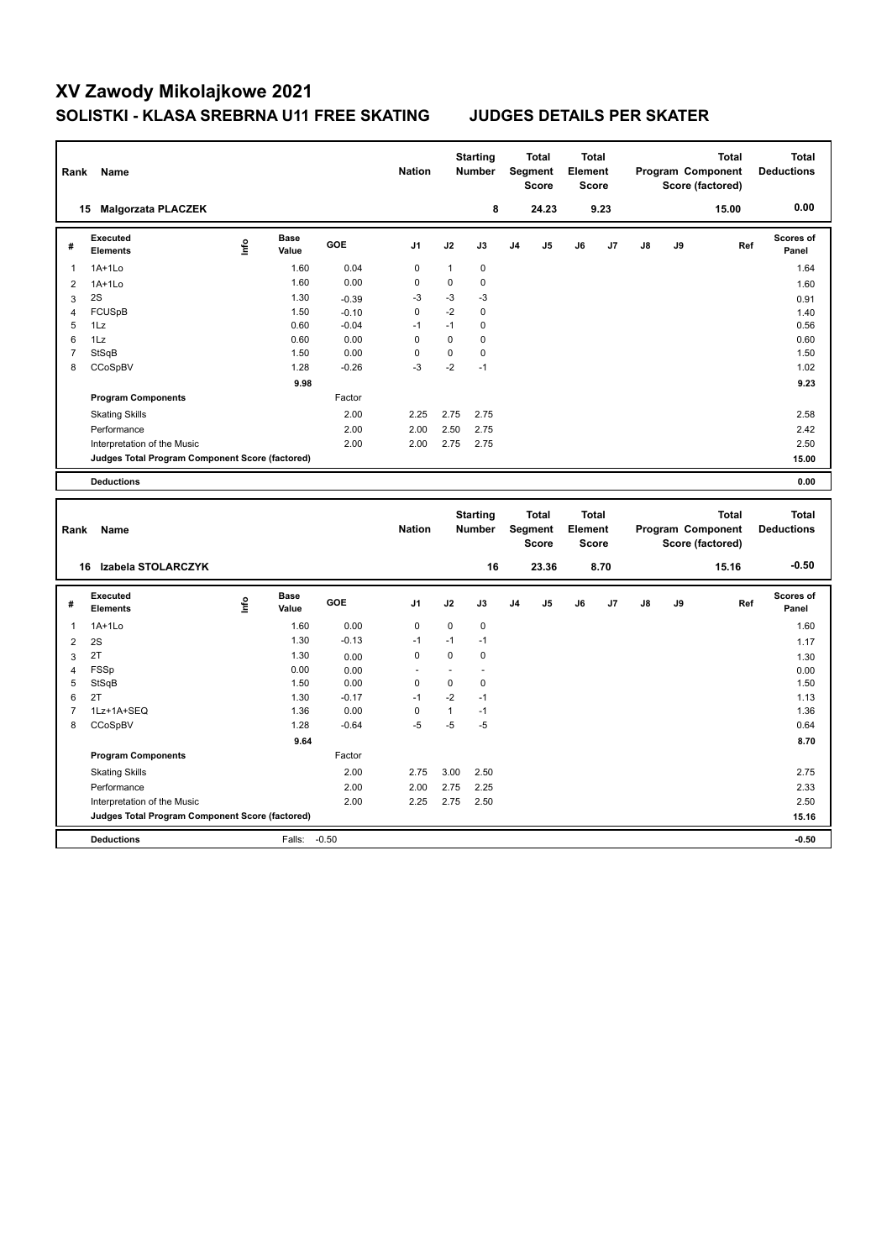| Rank           | Name                                            |      |                      |         | <b>Nation</b>  |              | <b>Starting</b><br>Number        |    | <b>Total</b><br>Segment<br><b>Score</b> | <b>Total</b><br>Element<br><b>Score</b> |      |    | Program Component | Score (factored) | <b>Total</b> | <b>Total</b><br><b>Deductions</b> |
|----------------|-------------------------------------------------|------|----------------------|---------|----------------|--------------|----------------------------------|----|-----------------------------------------|-----------------------------------------|------|----|-------------------|------------------|--------------|-----------------------------------|
|                | 15 Malgorzata PLACZEK                           |      |                      |         |                |              | 8                                |    | 24.23                                   |                                         | 9.23 |    |                   |                  | 15.00        | 0.00                              |
| #              | <b>Executed</b><br><b>Elements</b>              | ١nf٥ | <b>Base</b><br>Value | GOE     | J <sub>1</sub> | J2           | J3                               | J4 | J5                                      | J6                                      | J7   | J8 | J9                |                  | Ref          | <b>Scores of</b><br>Panel         |
| 1              | $1A+1L0$                                        |      | 1.60                 | 0.04    | $\mathbf 0$    | 1            | $\mathbf 0$                      |    |                                         |                                         |      |    |                   |                  |              | 1.64                              |
| $\overline{2}$ | $1A+1Lo$                                        |      | 1.60                 | 0.00    | 0              | 0            | $\mathbf 0$                      |    |                                         |                                         |      |    |                   |                  |              | 1.60                              |
| 3              | 2S                                              |      | 1.30                 | $-0.39$ | $-3$           | $-3$         | $-3$                             |    |                                         |                                         |      |    |                   |                  |              | 0.91                              |
| $\overline{4}$ | <b>FCUSpB</b>                                   |      | 1.50                 | $-0.10$ | 0              | $-2$         | $\mathbf 0$                      |    |                                         |                                         |      |    |                   |                  |              | 1.40                              |
| 5              | 1Lz                                             |      | 0.60                 | $-0.04$ | $-1$           | $-1$         | $\mathbf 0$                      |    |                                         |                                         |      |    |                   |                  |              | 0.56                              |
| 6              | 1Lz                                             |      | 0.60                 | 0.00    | 0              | $\pmb{0}$    | $\mathbf 0$                      |    |                                         |                                         |      |    |                   |                  |              | 0.60                              |
| $\overline{7}$ | StSqB                                           |      | 1.50                 | 0.00    | 0              | 0            | $\mathbf 0$                      |    |                                         |                                         |      |    |                   |                  |              | 1.50                              |
| 8              | CCoSpBV                                         |      | 1.28                 | $-0.26$ | $-3$           | $-2$         | $-1$                             |    |                                         |                                         |      |    |                   |                  |              | 1.02                              |
|                |                                                 |      | 9.98                 |         |                |              |                                  |    |                                         |                                         |      |    |                   |                  |              | 9.23                              |
|                | <b>Program Components</b>                       |      |                      | Factor  |                |              |                                  |    |                                         |                                         |      |    |                   |                  |              |                                   |
|                | <b>Skating Skills</b>                           |      |                      | 2.00    | 2.25           | 2.75         | 2.75                             |    |                                         |                                         |      |    |                   |                  |              | 2.58                              |
|                | Performance                                     |      |                      | 2.00    | 2.00           | 2.50         | 2.75                             |    |                                         |                                         |      |    |                   |                  |              | 2.42                              |
|                | Interpretation of the Music                     |      |                      | 2.00    | 2.00           | 2.75         | 2.75                             |    |                                         |                                         |      |    |                   |                  |              | 2.50                              |
|                | Judges Total Program Component Score (factored) |      |                      |         |                |              |                                  |    |                                         |                                         |      |    |                   |                  |              | 15.00                             |
|                | <b>Deductions</b>                               |      |                      |         |                |              |                                  |    |                                         |                                         |      |    |                   |                  |              | 0.00                              |
|                |                                                 |      |                      |         |                |              |                                  |    |                                         |                                         |      |    |                   |                  |              |                                   |
| Rank           | Name                                            |      |                      |         | <b>Nation</b>  |              | <b>Starting</b><br><b>Number</b> |    | <b>Total</b><br>Segment<br><b>Score</b> | <b>Total</b><br>Element<br><b>Score</b> |      |    | Program Component | Score (factored) | <b>Total</b> | <b>Total</b><br><b>Deductions</b> |
|                | 16 Izabela STOLARCZYK                           |      |                      |         |                |              | 16                               |    | 23.36                                   |                                         | 8.70 |    |                   |                  | 15.16        | $-0.50$                           |
| #              | <b>Executed</b><br><b>Elements</b>              | lnfo | Base<br>Value        | GOE     | J <sub>1</sub> | J2           | J3                               | J4 | J5                                      | J6                                      | J7   | J8 | J9                |                  | Ref          | <b>Scores of</b><br>Panel         |
| 1              | $1A+1Lo$                                        |      | 1.60                 | 0.00    | $\mathbf 0$    | 0            | $\mathbf 0$                      |    |                                         |                                         |      |    |                   |                  |              | 1.60                              |
| $\overline{c}$ | 2S                                              |      | 1.30                 | $-0.13$ | $-1$           | $-1$         | $-1$                             |    |                                         |                                         |      |    |                   |                  |              | 1.17                              |
| 3              | 2T                                              |      | 1.30                 | 0.00    | 0              | 0            | $\mathbf 0$                      |    |                                         |                                         |      |    |                   |                  |              | 1.30                              |
| $\overline{4}$ | FSSp                                            |      | 0.00                 | 0.00    | ÷,             | ä,           | ä,                               |    |                                         |                                         |      |    |                   |                  |              | 0.00                              |
| 5              | StSqB                                           |      | 1.50                 | 0.00    | 0              | 0            | $\mathbf 0$                      |    |                                         |                                         |      |    |                   |                  |              | 1.50                              |
| 6              | 2T                                              |      | 1.30                 | $-0.17$ | $-1$           | $-2$         | $-1$                             |    |                                         |                                         |      |    |                   |                  |              | 1.13                              |
| $\overline{7}$ | 1Lz+1A+SEQ                                      |      | 1.36                 | 0.00    | 0              | $\mathbf{1}$ | $-1$                             |    |                                         |                                         |      |    |                   |                  |              | 1.36                              |
| 8              | CCoSpBV                                         |      | 1.28                 | $-0.64$ | $-5$           | $-5$         | $-5$                             |    |                                         |                                         |      |    |                   |                  |              | 0.64                              |
|                |                                                 |      | 9.64                 |         |                |              |                                  |    |                                         |                                         |      |    |                   |                  |              | 8.70                              |
|                | <b>Program Components</b>                       |      |                      | Factor  |                |              |                                  |    |                                         |                                         |      |    |                   |                  |              |                                   |
|                | <b>Skating Skills</b>                           |      |                      | 2.00    | 2.75           | 3.00         | 2.50                             |    |                                         |                                         |      |    |                   |                  |              | 2.75                              |
|                | Performance                                     |      |                      | 2.00    | 2.00           | 2.75         | 2.25                             |    |                                         |                                         |      |    |                   |                  |              | 2.33                              |
|                | Interpretation of the Music                     |      |                      | 2.00    | 2.25           | 2.75         | 2.50                             |    |                                         |                                         |      |    |                   |                  |              | 2.50                              |
|                | Judges Total Program Component Score (factored) |      |                      |         |                |              |                                  |    |                                         |                                         |      |    |                   |                  |              | 15.16                             |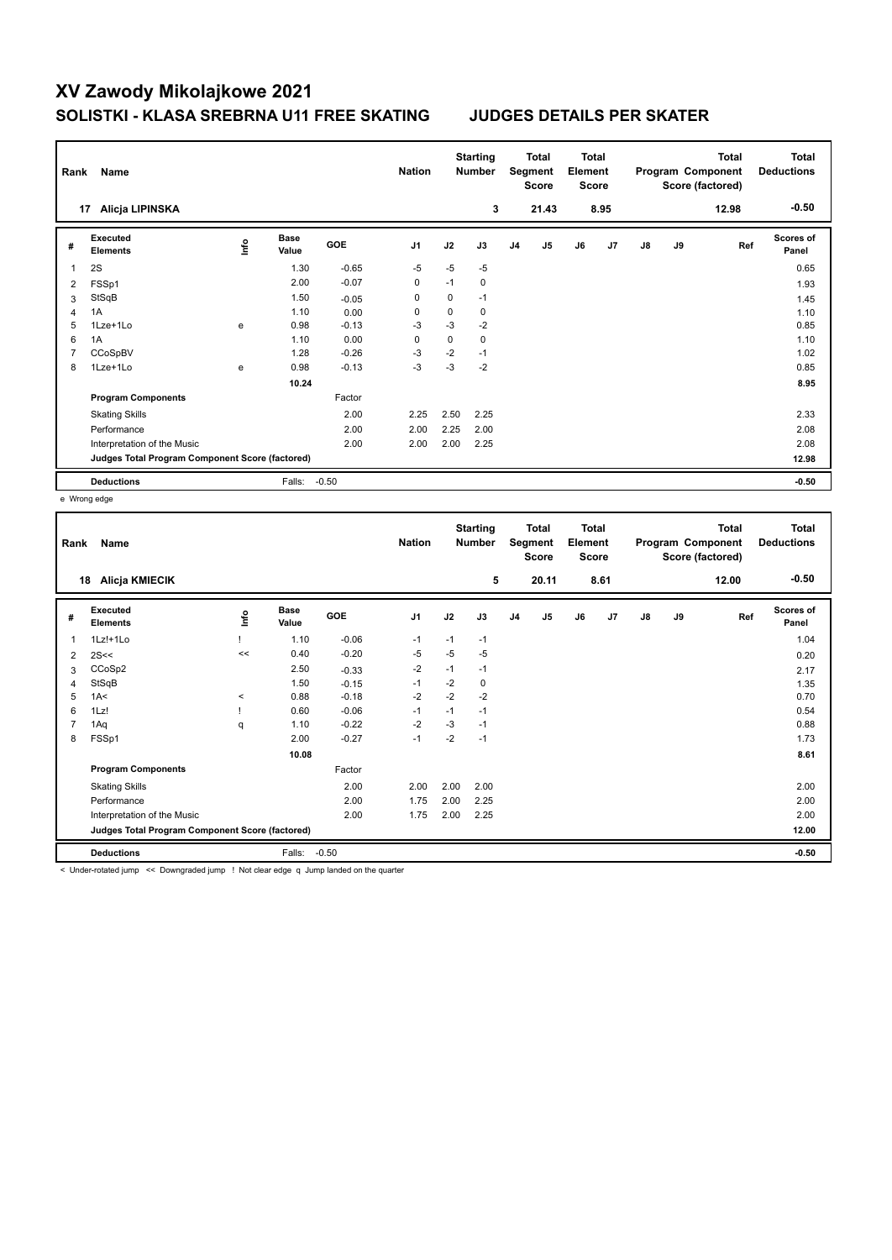| Rank           | Name                                            |      |                      |         | <b>Nation</b>  |             | <b>Starting</b><br><b>Number</b> |                | Total<br>Segment<br><b>Score</b> | <b>Total</b><br>Element<br><b>Score</b> |      |               |    | <b>Total</b><br>Program Component<br>Score (factored) | <b>Total</b><br><b>Deductions</b> |
|----------------|-------------------------------------------------|------|----------------------|---------|----------------|-------------|----------------------------------|----------------|----------------------------------|-----------------------------------------|------|---------------|----|-------------------------------------------------------|-----------------------------------|
| 17             | Alicja LIPINSKA                                 |      |                      |         |                |             | 3                                |                | 21.43                            |                                         | 8.95 |               |    | 12.98                                                 | $-0.50$                           |
| #              | <b>Executed</b><br><b>Elements</b>              | lnfo | <b>Base</b><br>Value | GOE     | J <sub>1</sub> | J2          | J3                               | J <sub>4</sub> | J <sub>5</sub>                   | J6                                      | J7   | $\mathsf{J}8$ | J9 | Ref                                                   | <b>Scores of</b><br>Panel         |
| 1              | 2S                                              |      | 1.30                 | $-0.65$ | $-5$           | $-5$        | $-5$                             |                |                                  |                                         |      |               |    |                                                       | 0.65                              |
| 2              | FSSp1                                           |      | 2.00                 | $-0.07$ | 0              | $-1$        | 0                                |                |                                  |                                         |      |               |    |                                                       | 1.93                              |
| 3              | StSqB                                           |      | 1.50                 | $-0.05$ | 0              | 0           | $-1$                             |                |                                  |                                         |      |               |    |                                                       | 1.45                              |
| 4              | 1A                                              |      | 1.10                 | 0.00    | 0              | 0           | 0                                |                |                                  |                                         |      |               |    |                                                       | 1.10                              |
| 5              | 1Lze+1Lo                                        | e    | 0.98                 | $-0.13$ | $-3$           | $-3$        | $-2$                             |                |                                  |                                         |      |               |    |                                                       | 0.85                              |
| 6              | 1A                                              |      | 1.10                 | 0.00    | $\mathbf 0$    | $\mathbf 0$ | $\mathbf 0$                      |                |                                  |                                         |      |               |    |                                                       | 1.10                              |
| $\overline{7}$ | CCoSpBV                                         |      | 1.28                 | $-0.26$ | $-3$           | $-2$        | $-1$                             |                |                                  |                                         |      |               |    |                                                       | 1.02                              |
| 8              | 1Lze+1Lo                                        | e    | 0.98                 | $-0.13$ | $-3$           | $-3$        | $-2$                             |                |                                  |                                         |      |               |    |                                                       | 0.85                              |
|                |                                                 |      | 10.24                |         |                |             |                                  |                |                                  |                                         |      |               |    |                                                       | 8.95                              |
|                | <b>Program Components</b>                       |      |                      | Factor  |                |             |                                  |                |                                  |                                         |      |               |    |                                                       |                                   |
|                | <b>Skating Skills</b>                           |      |                      | 2.00    | 2.25           | 2.50        | 2.25                             |                |                                  |                                         |      |               |    |                                                       | 2.33                              |
|                | Performance                                     |      |                      | 2.00    | 2.00           | 2.25        | 2.00                             |                |                                  |                                         |      |               |    |                                                       | 2.08                              |
|                | Interpretation of the Music                     |      |                      | 2.00    | 2.00           | 2.00        | 2.25                             |                |                                  |                                         |      |               |    |                                                       | 2.08                              |
|                | Judges Total Program Component Score (factored) |      |                      |         |                |             |                                  |                |                                  |                                         |      |               |    |                                                       | 12.98                             |
|                | <b>Deductions</b>                               |      | Falls:               | $-0.50$ |                |             |                                  |                |                                  |                                         |      |               |    |                                                       | $-0.50$                           |

e Wrong edge

| Rank           | Name                                            |       |                      |         | <b>Nation</b>  |      | <b>Starting</b><br><b>Number</b> |                | <b>Total</b><br>Segment<br><b>Score</b> | <b>Total</b><br>Element<br>Score |      |               |    | <b>Total</b><br>Program Component<br>Score (factored) | <b>Total</b><br><b>Deductions</b> |
|----------------|-------------------------------------------------|-------|----------------------|---------|----------------|------|----------------------------------|----------------|-----------------------------------------|----------------------------------|------|---------------|----|-------------------------------------------------------|-----------------------------------|
| 18             | Alicja KMIECIK                                  |       |                      |         |                |      | 5                                |                | 20.11                                   |                                  | 8.61 |               |    | 12.00                                                 | $-0.50$                           |
| #              | Executed<br><b>Elements</b>                     | lnfo  | <b>Base</b><br>Value | GOE     | J <sub>1</sub> | J2   | J3                               | J <sub>4</sub> | J5                                      | J6                               | J7   | $\mathsf{J}8$ | J9 | Ref                                                   | <b>Scores of</b><br>Panel         |
| 1              | 1Lz!+1Lo                                        |       | 1.10                 | $-0.06$ | $-1$           | $-1$ | $-1$                             |                |                                         |                                  |      |               |    |                                                       | 1.04                              |
| 2              | 2S<<                                            | $\,<$ | 0.40                 | $-0.20$ | -5             | $-5$ | $-5$                             |                |                                         |                                  |      |               |    |                                                       | 0.20                              |
| 3              | CCoSp2                                          |       | 2.50                 | $-0.33$ | $-2$           | $-1$ | $-1$                             |                |                                         |                                  |      |               |    |                                                       | 2.17                              |
| 4              | StSqB                                           |       | 1.50                 | $-0.15$ | $-1$           | $-2$ | 0                                |                |                                         |                                  |      |               |    |                                                       | 1.35                              |
| 5              | 1A<                                             | $\,<$ | 0.88                 | $-0.18$ | $-2$           | $-2$ | $-2$                             |                |                                         |                                  |      |               |    |                                                       | 0.70                              |
| 6              | 1Lz!                                            |       | 0.60                 | $-0.06$ | $-1$           | $-1$ | $-1$                             |                |                                         |                                  |      |               |    |                                                       | 0.54                              |
| $\overline{7}$ | 1Aq                                             | q     | 1.10                 | $-0.22$ | $-2$           | $-3$ | $-1$                             |                |                                         |                                  |      |               |    |                                                       | 0.88                              |
| 8              | FSSp1                                           |       | 2.00                 | $-0.27$ | $-1$           | $-2$ | $-1$                             |                |                                         |                                  |      |               |    |                                                       | 1.73                              |
|                |                                                 |       | 10.08                |         |                |      |                                  |                |                                         |                                  |      |               |    |                                                       | 8.61                              |
|                | <b>Program Components</b>                       |       |                      | Factor  |                |      |                                  |                |                                         |                                  |      |               |    |                                                       |                                   |
|                | <b>Skating Skills</b>                           |       |                      | 2.00    | 2.00           | 2.00 | 2.00                             |                |                                         |                                  |      |               |    |                                                       | 2.00                              |
|                | Performance                                     |       |                      | 2.00    | 1.75           | 2.00 | 2.25                             |                |                                         |                                  |      |               |    |                                                       | 2.00                              |
|                | Interpretation of the Music                     |       |                      | 2.00    | 1.75           | 2.00 | 2.25                             |                |                                         |                                  |      |               |    |                                                       | 2.00                              |
|                | Judges Total Program Component Score (factored) |       |                      |         |                |      |                                  |                |                                         |                                  |      |               |    |                                                       | 12.00                             |
|                | <b>Deductions</b>                               |       | Falls:               | $-0.50$ |                |      |                                  |                |                                         |                                  |      |               |    |                                                       | $-0.50$                           |

< Under-rotated jump << Downgraded jump ! Not clear edge q Jump landed on the quarter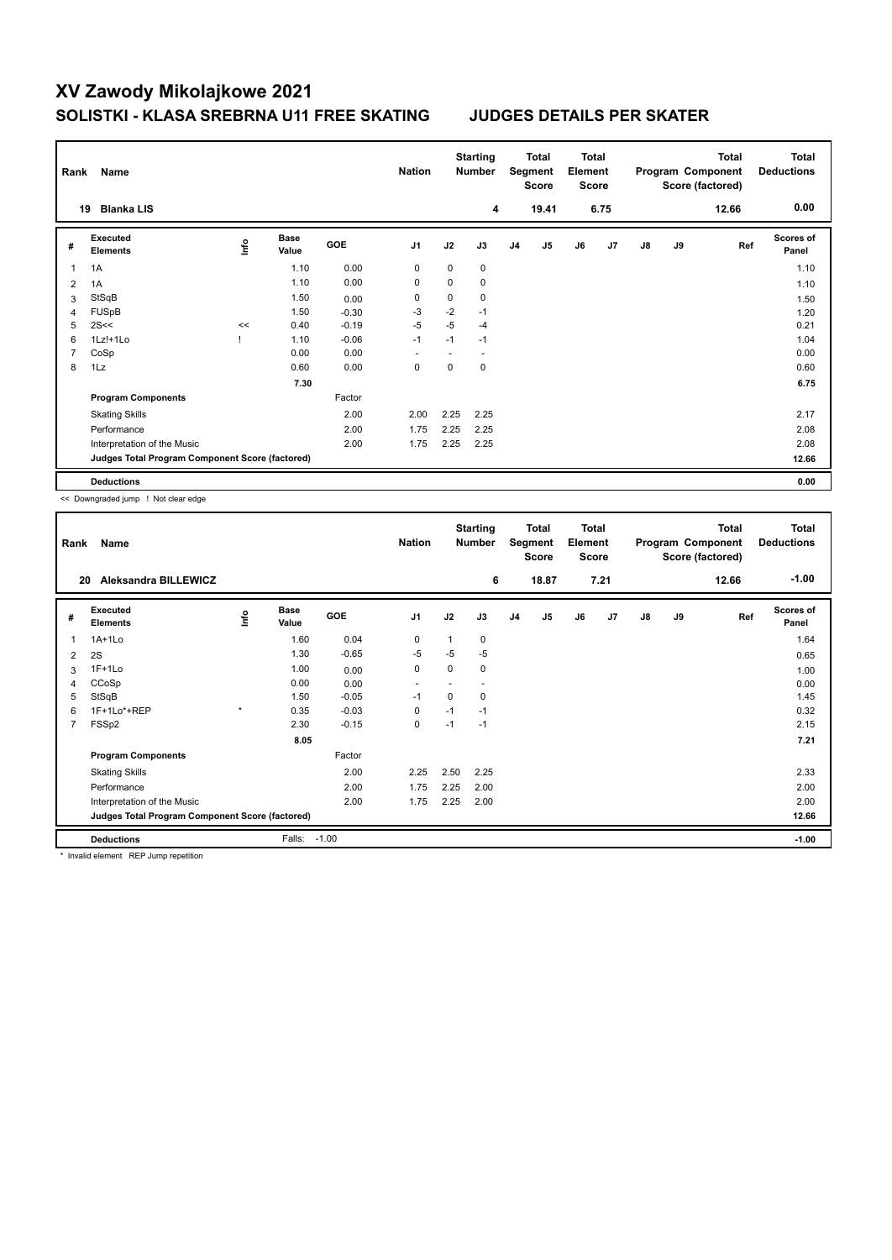| Rank | Name                                            |      |                      |         | <b>Nation</b>  |             | <b>Starting</b><br><b>Number</b> |                | Total<br>Segment<br><b>Score</b> | <b>Total</b><br>Element<br><b>Score</b> |      |    |    | <b>Total</b><br>Program Component<br>Score (factored) | <b>Total</b><br><b>Deductions</b> |
|------|-------------------------------------------------|------|----------------------|---------|----------------|-------------|----------------------------------|----------------|----------------------------------|-----------------------------------------|------|----|----|-------------------------------------------------------|-----------------------------------|
| 19   | <b>Blanka LIS</b>                               |      |                      |         |                |             | 4                                |                | 19.41                            |                                         | 6.75 |    |    | 12.66                                                 | 0.00                              |
| #    | <b>Executed</b><br><b>Elements</b>              | ١nf٥ | <b>Base</b><br>Value | GOE     | J <sub>1</sub> | J2          | J3                               | J <sub>4</sub> | J5                               | J6                                      | J7   | J8 | J9 | Ref                                                   | <b>Scores of</b><br>Panel         |
| 1    | 1A                                              |      | 1.10                 | 0.00    | $\mathbf 0$    | $\mathbf 0$ | $\mathbf 0$                      |                |                                  |                                         |      |    |    |                                                       | 1.10                              |
| 2    | 1A                                              |      | 1.10                 | 0.00    | 0              | $\mathbf 0$ | $\mathbf 0$                      |                |                                  |                                         |      |    |    |                                                       | 1.10                              |
| 3    | StSqB                                           |      | 1.50                 | 0.00    | 0              | 0           | 0                                |                |                                  |                                         |      |    |    |                                                       | 1.50                              |
| 4    | FUSpB                                           |      | 1.50                 | $-0.30$ | $-3$           | $-2$        | $-1$                             |                |                                  |                                         |      |    |    |                                                       | 1.20                              |
| 5    | 2S<<                                            | <<   | 0.40                 | $-0.19$ | $-5$           | $-5$        | $-4$                             |                |                                  |                                         |      |    |    |                                                       | 0.21                              |
| 6    | 1Lz!+1Lo                                        |      | 1.10                 | $-0.06$ | $-1$           | $-1$        | $-1$                             |                |                                  |                                         |      |    |    |                                                       | 1.04                              |
| 7    | CoSp                                            |      | 0.00                 | 0.00    |                |             |                                  |                |                                  |                                         |      |    |    |                                                       | 0.00                              |
| 8    | 1Lz                                             |      | 0.60                 | 0.00    | 0              | 0           | 0                                |                |                                  |                                         |      |    |    |                                                       | 0.60                              |
|      |                                                 |      | 7.30                 |         |                |             |                                  |                |                                  |                                         |      |    |    |                                                       | 6.75                              |
|      | <b>Program Components</b>                       |      |                      | Factor  |                |             |                                  |                |                                  |                                         |      |    |    |                                                       |                                   |
|      | <b>Skating Skills</b>                           |      |                      | 2.00    | 2.00           | 2.25        | 2.25                             |                |                                  |                                         |      |    |    |                                                       | 2.17                              |
|      | Performance                                     |      |                      | 2.00    | 1.75           | 2.25        | 2.25                             |                |                                  |                                         |      |    |    |                                                       | 2.08                              |
|      | Interpretation of the Music                     |      |                      | 2.00    | 1.75           | 2.25        | 2.25                             |                |                                  |                                         |      |    |    |                                                       | 2.08                              |
|      | Judges Total Program Component Score (factored) |      |                      |         |                |             |                                  |                |                                  |                                         |      |    |    |                                                       | 12.66                             |
|      | <b>Deductions</b>                               |      |                      |         |                |             |                                  |                |                                  |                                         |      |    |    |                                                       | 0.00                              |

<< Downgraded jump ! Not clear edge

| Rank           | Name                                            |         |                      |         | <b>Nation</b>            |          | <b>Starting</b><br><b>Number</b> |                | Total<br>Segment<br><b>Score</b> | <b>Total</b><br>Element<br><b>Score</b> |      |               |    | <b>Total</b><br>Program Component<br>Score (factored) | Total<br><b>Deductions</b> |
|----------------|-------------------------------------------------|---------|----------------------|---------|--------------------------|----------|----------------------------------|----------------|----------------------------------|-----------------------------------------|------|---------------|----|-------------------------------------------------------|----------------------------|
| 20             | Aleksandra BILLEWICZ                            |         |                      |         |                          |          | 6                                |                | 18.87                            |                                         | 7.21 |               |    | 12.66                                                 | $-1.00$                    |
| #              | Executed<br><b>Elements</b>                     | lnfo    | <b>Base</b><br>Value | GOE     | J <sub>1</sub>           | J2       | J3                               | J <sub>4</sub> | J <sub>5</sub>                   | J6                                      | J7   | $\mathsf{J}8$ | J9 | Ref                                                   | <b>Scores of</b><br>Panel  |
|                | $1A+1L0$                                        |         | 1.60                 | 0.04    | 0                        | 1        | 0                                |                |                                  |                                         |      |               |    |                                                       | 1.64                       |
| 2              | 2S                                              |         | 1.30                 | $-0.65$ | $-5$                     | $-5$     | $-5$                             |                |                                  |                                         |      |               |    |                                                       | 0.65                       |
| 3              | $1F+1Lo$                                        |         | 1.00                 | 0.00    | $\mathbf 0$              | $\Omega$ | 0                                |                |                                  |                                         |      |               |    |                                                       | 1.00                       |
| 4              | CCoSp                                           |         | 0.00                 | 0.00    | $\overline{\phantom{a}}$ |          | ٠                                |                |                                  |                                         |      |               |    |                                                       | 0.00                       |
| 5              | StSqB                                           |         | 1.50                 | $-0.05$ | $-1$                     | $\Omega$ | 0                                |                |                                  |                                         |      |               |    |                                                       | 1.45                       |
| 6              | 1F+1Lo*+REP                                     | $\star$ | 0.35                 | $-0.03$ | 0                        | $-1$     | $-1$                             |                |                                  |                                         |      |               |    |                                                       | 0.32                       |
| $\overline{7}$ | FSSp2                                           |         | 2.30                 | $-0.15$ | 0                        | $-1$     | $-1$                             |                |                                  |                                         |      |               |    |                                                       | 2.15                       |
|                |                                                 |         | 8.05                 |         |                          |          |                                  |                |                                  |                                         |      |               |    |                                                       | 7.21                       |
|                | <b>Program Components</b>                       |         |                      | Factor  |                          |          |                                  |                |                                  |                                         |      |               |    |                                                       |                            |
|                | <b>Skating Skills</b>                           |         |                      | 2.00    | 2.25                     | 2.50     | 2.25                             |                |                                  |                                         |      |               |    |                                                       | 2.33                       |
|                | Performance                                     |         |                      | 2.00    | 1.75                     | 2.25     | 2.00                             |                |                                  |                                         |      |               |    |                                                       | 2.00                       |
|                | Interpretation of the Music                     |         |                      | 2.00    | 1.75                     | 2.25     | 2.00                             |                |                                  |                                         |      |               |    |                                                       | 2.00                       |
|                | Judges Total Program Component Score (factored) |         |                      |         |                          |          |                                  |                |                                  |                                         |      |               |    |                                                       | 12.66                      |
|                | <b>Deductions</b>                               |         | Falls:               | $-1.00$ |                          |          |                                  |                |                                  |                                         |      |               |    |                                                       | $-1.00$                    |

\* Invalid element REP Jump repetition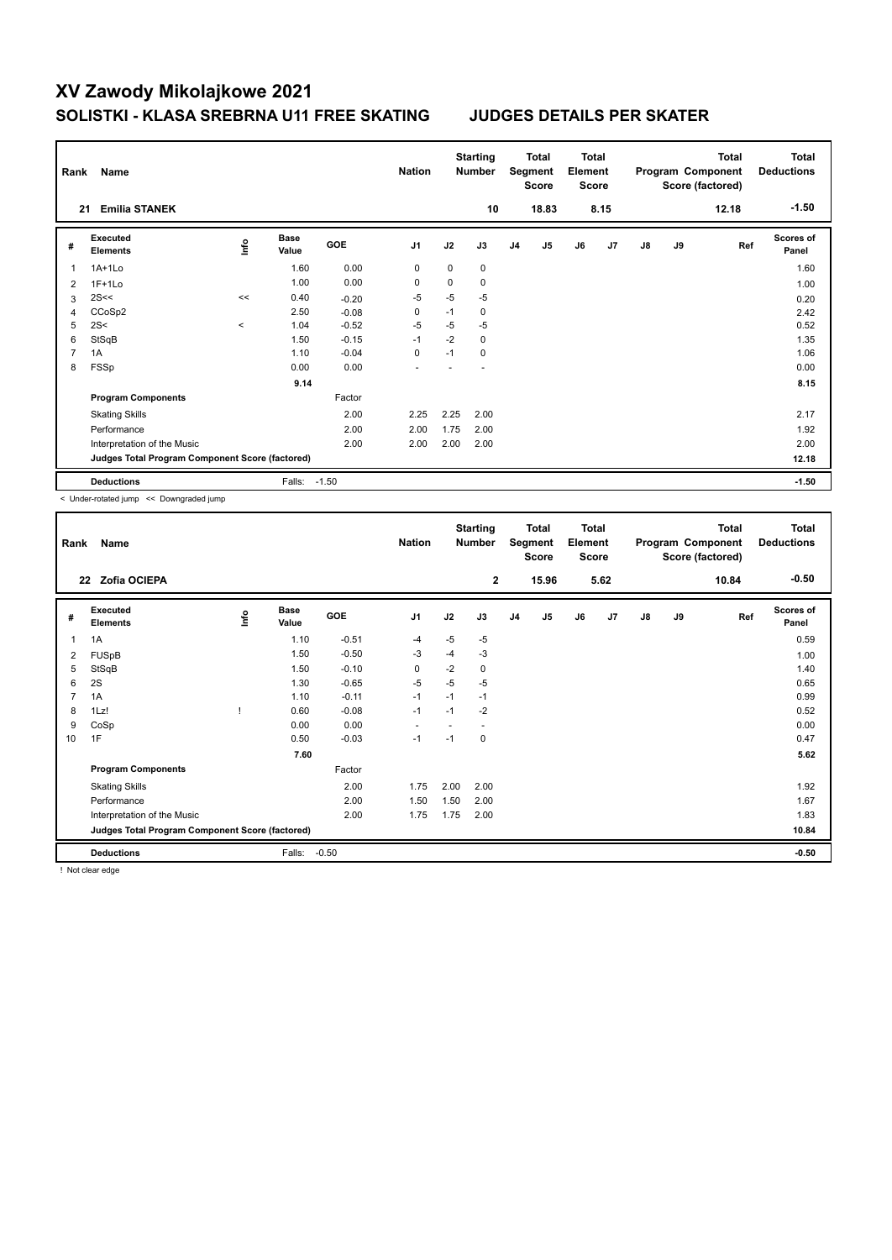| Rank           | Name                                            |         |                      |         | <b>Nation</b>  |      | <b>Starting</b><br><b>Number</b> |                | Total<br>Segment<br><b>Score</b> | <b>Total</b><br>Element<br><b>Score</b> |      |               |    | <b>Total</b><br>Program Component<br>Score (factored) | <b>Total</b><br><b>Deductions</b> |
|----------------|-------------------------------------------------|---------|----------------------|---------|----------------|------|----------------------------------|----------------|----------------------------------|-----------------------------------------|------|---------------|----|-------------------------------------------------------|-----------------------------------|
| 21             | <b>Emilia STANEK</b>                            |         |                      |         |                |      | 10                               |                | 18.83                            |                                         | 8.15 |               |    | 12.18                                                 | $-1.50$                           |
| #              | <b>Executed</b><br><b>Elements</b>              | ١nf٥    | <b>Base</b><br>Value | GOE     | J <sub>1</sub> | J2   | J3                               | J <sub>4</sub> | J <sub>5</sub>                   | J6                                      | J7   | $\mathsf{J}8$ | J9 | Ref                                                   | <b>Scores of</b><br>Panel         |
| 1              | $1A+1Lo$                                        |         | 1.60                 | 0.00    | 0              | 0    | 0                                |                |                                  |                                         |      |               |    |                                                       | 1.60                              |
| $\overline{2}$ | $1F+1Lo$                                        |         | 1.00                 | 0.00    | 0              | 0    | 0                                |                |                                  |                                         |      |               |    |                                                       | 1.00                              |
| 3              | 2S<<                                            | $\,<$   | 0.40                 | $-0.20$ | $-5$           | $-5$ | $-5$                             |                |                                  |                                         |      |               |    |                                                       | 0.20                              |
| 4              | CCoSp2                                          |         | 2.50                 | $-0.08$ | 0              | $-1$ | 0                                |                |                                  |                                         |      |               |    |                                                       | 2.42                              |
| 5              | 2S<                                             | $\prec$ | 1.04                 | $-0.52$ | $-5$           | $-5$ | $-5$                             |                |                                  |                                         |      |               |    |                                                       | 0.52                              |
| 6              | StSqB                                           |         | 1.50                 | $-0.15$ | $-1$           | $-2$ | $\mathbf 0$                      |                |                                  |                                         |      |               |    |                                                       | 1.35                              |
| 7              | 1A                                              |         | 1.10                 | $-0.04$ | 0              | $-1$ | 0                                |                |                                  |                                         |      |               |    |                                                       | 1.06                              |
| 8              | FSSp                                            |         | 0.00                 | 0.00    |                |      |                                  |                |                                  |                                         |      |               |    |                                                       | 0.00                              |
|                |                                                 |         | 9.14                 |         |                |      |                                  |                |                                  |                                         |      |               |    |                                                       | 8.15                              |
|                | <b>Program Components</b>                       |         |                      | Factor  |                |      |                                  |                |                                  |                                         |      |               |    |                                                       |                                   |
|                | <b>Skating Skills</b>                           |         |                      | 2.00    | 2.25           | 2.25 | 2.00                             |                |                                  |                                         |      |               |    |                                                       | 2.17                              |
|                | Performance                                     |         |                      | 2.00    | 2.00           | 1.75 | 2.00                             |                |                                  |                                         |      |               |    |                                                       | 1.92                              |
|                | Interpretation of the Music                     |         |                      | 2.00    | 2.00           | 2.00 | 2.00                             |                |                                  |                                         |      |               |    |                                                       | 2.00                              |
|                | Judges Total Program Component Score (factored) |         |                      |         |                |      |                                  |                |                                  |                                         |      |               |    |                                                       | 12.18                             |
|                | <b>Deductions</b>                               |         | Falls:               | $-1.50$ |                |      |                                  |                |                                  |                                         |      |               |    |                                                       | $-1.50$                           |

< Under-rotated jump << Downgraded jump

| Rank           | Name                                            |             |                      |         | <b>Nation</b>            |      | <b>Starting</b><br><b>Number</b> |                | <b>Total</b><br>Segment<br><b>Score</b> | <b>Total</b><br>Element<br><b>Score</b> |      |               |    | Total<br>Program Component<br>Score (factored) | <b>Total</b><br><b>Deductions</b> |
|----------------|-------------------------------------------------|-------------|----------------------|---------|--------------------------|------|----------------------------------|----------------|-----------------------------------------|-----------------------------------------|------|---------------|----|------------------------------------------------|-----------------------------------|
|                | Zofia OCIEPA<br>22                              |             |                      |         |                          |      | $\mathbf{2}$                     |                | 15.96                                   |                                         | 5.62 |               |    | 10.84                                          | $-0.50$                           |
| #              | Executed<br><b>Elements</b>                     | <u>lnfo</u> | <b>Base</b><br>Value | GOE     | J <sub>1</sub>           | J2   | J3                               | J <sub>4</sub> | J5                                      | J6                                      | J7   | $\mathsf{J}8$ | J9 | Ref                                            | <b>Scores of</b><br>Panel         |
| 1              | 1A                                              |             | 1.10                 | $-0.51$ | $-4$                     | $-5$ | $-5$                             |                |                                         |                                         |      |               |    |                                                | 0.59                              |
| 2              | <b>FUSpB</b>                                    |             | 1.50                 | $-0.50$ | -3                       | -4   | $-3$                             |                |                                         |                                         |      |               |    |                                                | 1.00                              |
| 5              | StSqB                                           |             | 1.50                 | $-0.10$ | 0                        | $-2$ | 0                                |                |                                         |                                         |      |               |    |                                                | 1.40                              |
| 6              | 2S                                              |             | 1.30                 | $-0.65$ | $-5$                     | $-5$ | $-5$                             |                |                                         |                                         |      |               |    |                                                | 0.65                              |
| $\overline{7}$ | 1A                                              |             | 1.10                 | $-0.11$ | $-1$                     | $-1$ | $-1$                             |                |                                         |                                         |      |               |    |                                                | 0.99                              |
| 8              | 1Lz!                                            |             | 0.60                 | $-0.08$ | $-1$                     | $-1$ | $-2$                             |                |                                         |                                         |      |               |    |                                                | 0.52                              |
| 9              | CoSp                                            |             | 0.00                 | 0.00    | $\overline{\phantom{a}}$ |      |                                  |                |                                         |                                         |      |               |    |                                                | 0.00                              |
| 10             | 1F                                              |             | 0.50                 | $-0.03$ | $-1$                     | $-1$ | 0                                |                |                                         |                                         |      |               |    |                                                | 0.47                              |
|                |                                                 |             | 7.60                 |         |                          |      |                                  |                |                                         |                                         |      |               |    |                                                | 5.62                              |
|                | <b>Program Components</b>                       |             |                      | Factor  |                          |      |                                  |                |                                         |                                         |      |               |    |                                                |                                   |
|                | <b>Skating Skills</b>                           |             |                      | 2.00    | 1.75                     | 2.00 | 2.00                             |                |                                         |                                         |      |               |    |                                                | 1.92                              |
|                | Performance                                     |             |                      | 2.00    | 1.50                     | 1.50 | 2.00                             |                |                                         |                                         |      |               |    |                                                | 1.67                              |
|                | Interpretation of the Music                     |             |                      | 2.00    | 1.75                     | 1.75 | 2.00                             |                |                                         |                                         |      |               |    |                                                | 1.83                              |
|                | Judges Total Program Component Score (factored) |             |                      |         |                          |      |                                  |                |                                         |                                         |      |               |    |                                                | 10.84                             |
|                | <b>Deductions</b>                               |             | Falls:               | $-0.50$ |                          |      |                                  |                |                                         |                                         |      |               |    |                                                | $-0.50$                           |

! Not clear edge